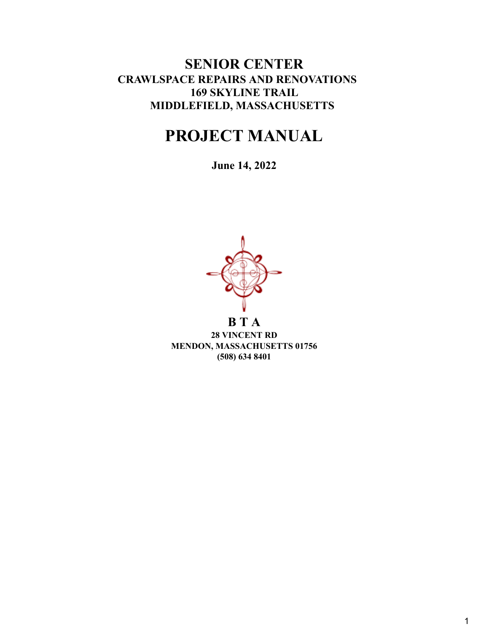# **SENIOR CENTER CRAWLSPACE REPAIRS AND RENOVATIONS 169 SKYLINE TRAIL MIDDLEFIELD, MASSACHUSETTS**

# **PROJECT MANUAL**

**June 14, 2022**



**28 VINCENT RD MENDON, MASSACHUSETTS 01756 (508) 634 8401**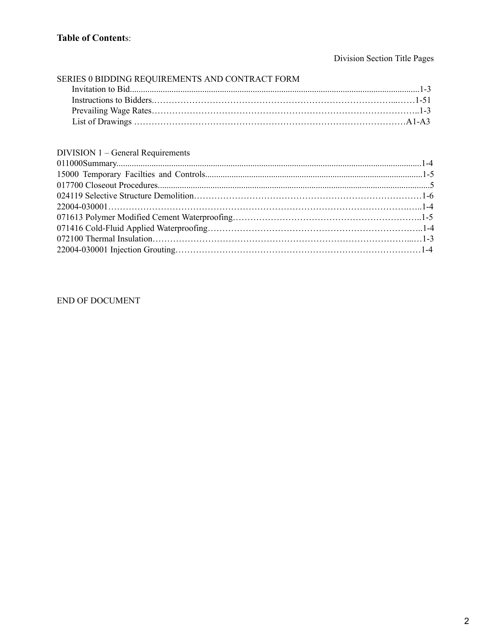## Division Section Title Pages

| SERIES 0 BIDDING REQUIREMENTS AND CONTRACT FORM |  |
|-------------------------------------------------|--|
|                                                 |  |
|                                                 |  |
|                                                 |  |
|                                                 |  |

## DIVISION 1 – General Requirements

## END OF DOCUMENT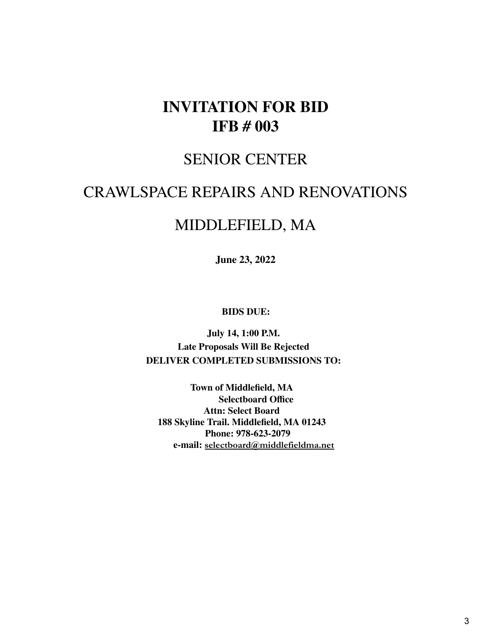# **INVITATION FOR BID IFB # 003**

# SENIOR CENTER

# CRAWLSPACE REPAIRS AND RENOVATIONS

# MIDDLEFIELD, MA

**June 23, 2022**

**BIDS DUE:**

**July 14, 1:00 P.M. Late Proposals Will Be Rejected DELIVER COMPLETED SUBMISSIONS TO:**

**Town of Middlefield, MA Selectboard Office Attn: Select Board 188 Skyline Trail. Middlefield, MA 01243 Phone: 978-623-2079 e-mail: selectboard@middlefieldma.net**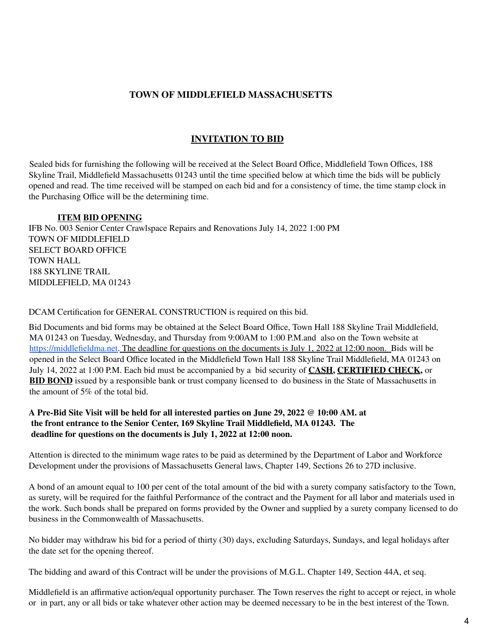## **TOWN OF MIDDLEFIELD MASSACHUSETTS**

## **INVITATION TO BID**

Sealed bids for furnishing the following will be received at the Select Board Office, Middlefield Town Offices, 188 Skyline Trail, Middlefield Massachusetts 01243 until the time specified below at which time the bids will be publicly opened and read. The time received will be stamped on each bid and for a consistency of time, the time stamp clock in the Purchasing Office will be the determining time.

#### **ITEM BID OPENING**

IFB No. 003 Senior Center Crawlspace Repairs and Renovations July 14, 2022 1:00 PM TOWN OF MIDDLEFIELD SELECT BOARD OFFICE TOWN HALL 188 SKYLINE TRAIL MIDDLEFIELD, MA 01243

DCAM Certification for GENERAL CONSTRUCTION is required on this bid.

Bid Documents and bid forms may be obtained at the Select Board Office, Town Hall 188 Skyline Trail Middlefield, MA 01243 on Tuesday, Wednesday, and Thursday from 9:00AM to 1:00 P.M.and also on the Town website at [https://middlefieldma.net.](https://middlefieldma.net/) The deadline for questions on the documents is July 1, 2022 at 12:00 noon. Bids will be opened in the Select Board Office located in the Middlefield Town Hall 188 Skyline Trail Middlefield, MA 01243 on July 14, 2022 at 1:00 P.M. Each bid must be accompanied by a bid security of **CASH, CERTIFIED CHECK,** or **BID BOND** issued by a responsible bank or trust company licensed to do business in the State of Massachusetts in the amount of 5% of the total bid.

#### A Pre-Bid Site Visit will be held for all interested parties on June 29, 2022 @ 10:00 AM. at **the front entrance to the Senior Center, 169 Skyline Trail Middlefield, MA 01243. The deadline for questions on the documents is July 1, 2022 at 12:00 noon.**

Attention is directed to the minimum wage rates to be paid as determined by the Department of Labor and Workforce Development under the provisions of Massachusetts General laws, Chapter 149, Sections 26 to 27D inclusive.

A bond of an amount equal to 100 per cent of the total amount of the bid with a surety company satisfactory to the Town, as surety, will be required for the faithful Performance of the contract and the Payment for all labor and materials used in the work. Such bonds shall be prepared on forms provided by the Owner and supplied by a surety company licensed to do business in the Commonwealth of Massachusetts.

No bidder may withdraw his bid for a period of thirty (30) days, excluding Saturdays, Sundays, and legal holidays after the date set for the opening thereof.

The bidding and award of this Contract will be under the provisions of M.G.L. Chapter 149, Section 44A, et seq.

Middlefield is an affirmative action/equal opportunity purchaser. The Town reserves the right to accept or reject, in whole or in part, any or all bids or take whatever other action may be deemed necessary to be in the best interest of the Town.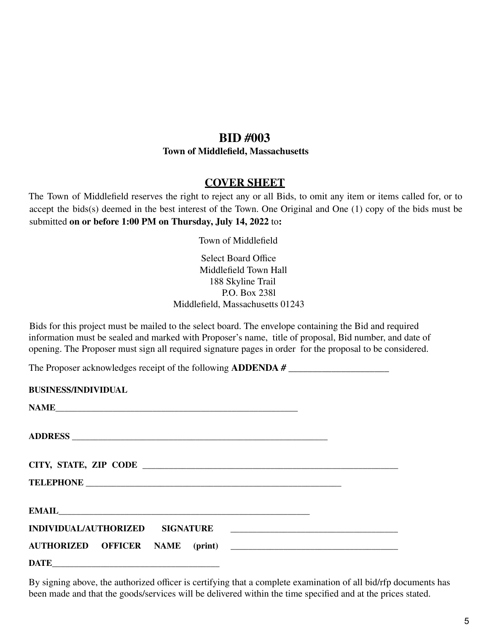## **BID #003**

### **Town of Middlefield, Massachusetts**

## **COVER SHEET**

The Town of Middlefield reserves the right to reject any or all Bids, to omit any item or items called for, or to accept the bids(s) deemed in the best interest of the Town. One Original and One (1) copy of the bids must be submitted **on or before 1:00 PM on Thursday, July 14, 2022** to**:**

Town of Middlefield

## Select Board Office Middlefield Town Hall 188 Skyline Trail P.O. Box 238l Middlefield, Massachusetts 01243

Bids for this project must be mailed to the select board. The envelope containing the Bid and required information must be sealed and marked with Proposer's name, title of proposal, Bid number, and date of opening. The Proposer must sign all required signature pages in order for the proposal to be considered.

The Proposer acknowledges receipt of the following **ADDENDA # \_\_\_\_\_\_\_\_\_\_\_\_\_\_\_\_\_\_\_\_\_**

| <b>BUSINESS/INDIVIDUAL</b> |  |
|----------------------------|--|
| <b>NAME</b>                |  |
|                            |  |
|                            |  |
|                            |  |
|                            |  |
|                            |  |
|                            |  |
|                            |  |

By signing above, the authorized officer is certifying that a complete examination of all bid/rfp documents has been made and that the goods/services will be delivered within the time specified and at the prices stated.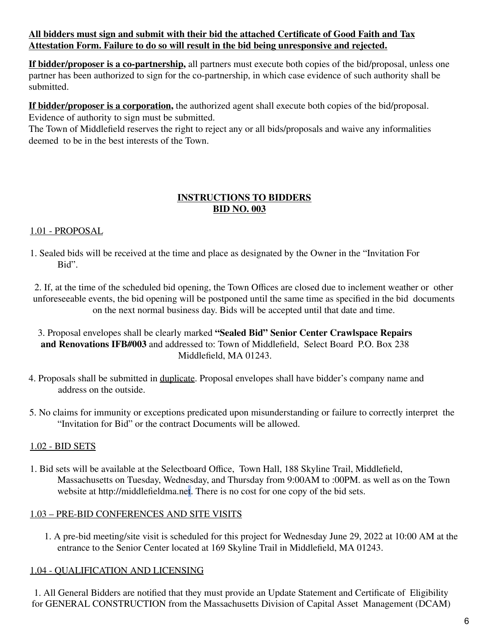## **All bidders must sign and submit with their bid the attached Certificate of Good Faith and Tax Attestation Form. Failure to do so will result in the bid being unresponsive and rejected.**

**If bidder/proposer is a co-partnership,** all partners must execute both copies of the bid/proposal, unless one partner has been authorized to sign for the co-partnership, in which case evidence of such authority shall be submitted.

**If bidder/proposer is a corporation,** the authorized agent shall execute both copies of the bid/proposal. Evidence of authority to sign must be submitted.

The Town of Middlefield reserves the right to reject any or all bids/proposals and waive any informalities deemed to be in the best interests of the Town.

## **INSTRUCTIONS TO BIDDERS BID NO. 003**

## 1.01 - PROPOSAL

1. Sealed bids will be received at the time and place as designated by the Owner in the "Invitation For Bid".

2. If, at the time of the scheduled bid opening, the Town Offices are closed due to inclement weather or other unforeseeable events, the bid opening will be postponed until the same time as specified in the bid documents on the next normal business day. Bids will be accepted until that date and time.

- 3. Proposal envelopes shall be clearly marked **"Sealed Bid" Senior Center Crawlspace Repairs and Renovations IFB#003** and addressed to: Town of Middlefield, Select Board P.O. Box 238 Middlefield, MA 01243.
- 4. Proposals shall be submitted in duplicate. Proposal envelopes shall have bidder's company name and address on the outside.
- 5. No claims for immunity or exceptions predicated upon misunderstanding or failure to correctly interpret the "Invitation for Bid" or the contract Documents will be allowed.

## 1.02 - BID SETS

1. Bid sets will be available at the Selectboard Office, Town Hall, 188 Skyline Trail, Middlefield, Massachusetts on Tuesday, Wednesday, and Thursday from 9:00AM to :00PM. as well as on the Town website at http://middlefieldma.net. There is no cost for one copy of the bid sets.

## 1.03 – PRE-BID CONFERENCES AND SITE VISITS

1. A pre-bid meeting/site visit is scheduled for this project for Wednesday June 29, 2022 at 10:00 AM at the entrance to the Senior Center located at 169 Skyline Trail in Middlefield, MA 01243.

## 1.04 - QUALIFICATION AND LICENSING

1. All General Bidders are notified that they must provide an Update Statement and Certificate of Eligibility for GENERAL CONSTRUCTION from the Massachusetts Division of Capital Asset Management (DCAM)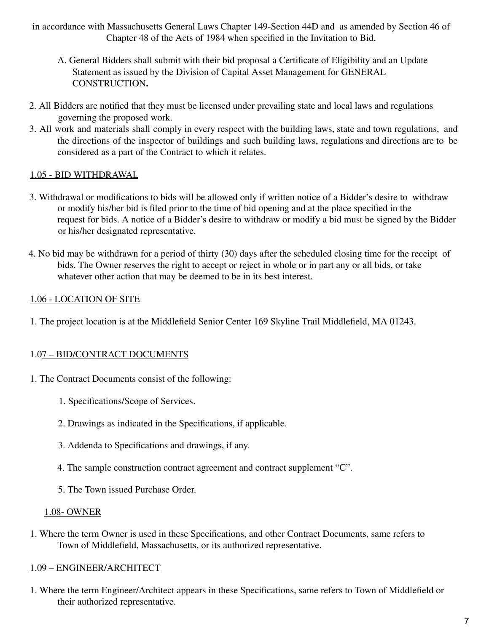in accordance with Massachusetts General Laws Chapter 149-Section 44D and as amended by Section 46 of Chapter 48 of the Acts of 1984 when specified in the Invitation to Bid.

- A. General Bidders shall submit with their bid proposal a Certificate of Eligibility and an Update Statement as issued by the Division of Capital Asset Management for GENERAL CONSTRUCTION**.**
- 2. All Bidders are notified that they must be licensed under prevailing state and local laws and regulations governing the proposed work.
- 3. All work and materials shall comply in every respect with the building laws, state and town regulations, and the directions of the inspector of buildings and such building laws, regulations and directions are to be considered as a part of the Contract to which it relates.

## 1.05 - BID WITHDRAWAL

- 3. Withdrawal or modifications to bids will be allowed only if written notice of a Bidder's desire to withdraw or modify his/her bid is filed prior to the time of bid opening and at the place specified in the request for bids. A notice of a Bidder's desire to withdraw or modify a bid must be signed by the Bidder or his/her designated representative.
- 4. No bid may be withdrawn for a period of thirty (30) days after the scheduled closing time for the receipt of bids. The Owner reserves the right to accept or reject in whole or in part any or all bids, or take whatever other action that may be deemed to be in its best interest.

## 1.06 - LOCATION OF SITE

1. The project location is at the Middlefield Senior Center 169 Skyline Trail Middlefield, MA 01243.

## 1.07 – BID/CONTRACT DOCUMENTS

- 1. The Contract Documents consist of the following:
	- 1. Specifications/Scope of Services.
	- 2. Drawings as indicated in the Specifications, if applicable.
	- 3. Addenda to Specifications and drawings, if any.
	- 4. The sample construction contract agreement and contract supplement "C".
	- 5. The Town issued Purchase Order.

## 1.08- OWNER

1. Where the term Owner is used in these Specifications, and other Contract Documents, same refers to Town of Middlefield, Massachusetts, or its authorized representative.

## 1.09 – ENGINEER/ARCHITECT

1. Where the term Engineer/Architect appears in these Specifications, same refers to Town of Middlefield or their authorized representative.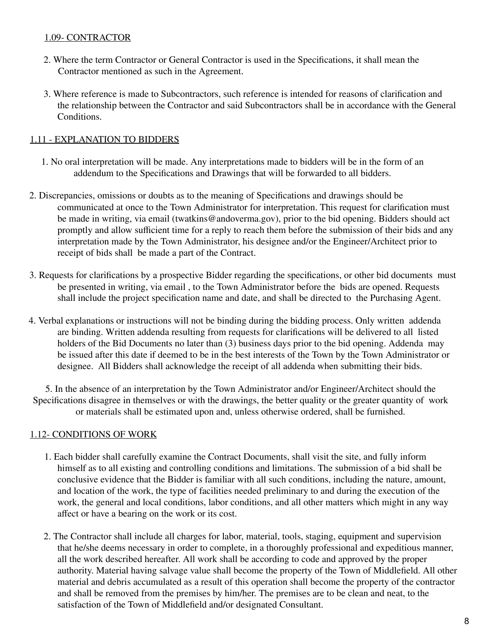## 1.09- CONTRACTOR

- 2. Where the term Contractor or General Contractor is used in the Specifications, it shall mean the Contractor mentioned as such in the Agreement.
- 3. Where reference is made to Subcontractors, such reference is intended for reasons of clarification and the relationship between the Contractor and said Subcontractors shall be in accordance with the General **Conditions**

#### 1.11 - EXPLANATION TO BIDDERS

- 1. No oral interpretation will be made. Any interpretations made to bidders will be in the form of an addendum to the Specifications and Drawings that will be forwarded to all bidders.
- 2. Discrepancies, omissions or doubts as to the meaning of Specifications and drawings should be communicated at once to the Town Administrator for interpretation. This request for clarification must be made in writing, via email (twatkins@andoverma.gov), prior to the bid opening. Bidders should act promptly and allow sufficient time for a reply to reach them before the submission of their bids and any interpretation made by the Town Administrator, his designee and/or the Engineer/Architect prior to receipt of bids shall be made a part of the Contract.
- 3. Requests for clarifications by a prospective Bidder regarding the specifications, or other bid documents must be presented in writing, via email , to the Town Administrator before the bids are opened. Requests shall include the project specification name and date, and shall be directed to the Purchasing Agent.
- 4. Verbal explanations or instructions will not be binding during the bidding process. Only written addenda are binding. Written addenda resulting from requests for clarifications will be delivered to all listed holders of the Bid Documents no later than (3) business days prior to the bid opening. Addenda may be issued after this date if deemed to be in the best interests of the Town by the Town Administrator or designee. All Bidders shall acknowledge the receipt of all addenda when submitting their bids.

5. In the absence of an interpretation by the Town Administrator and/or Engineer/Architect should the Specifications disagree in themselves or with the drawings, the better quality or the greater quantity of work or materials shall be estimated upon and, unless otherwise ordered, shall be furnished.

## 1.12- CONDITIONS OF WORK

- 1. Each bidder shall carefully examine the Contract Documents, shall visit the site, and fully inform himself as to all existing and controlling conditions and limitations. The submission of a bid shall be conclusive evidence that the Bidder is familiar with all such conditions, including the nature, amount, and location of the work, the type of facilities needed preliminary to and during the execution of the work, the general and local conditions, labor conditions, and all other matters which might in any way affect or have a bearing on the work or its cost.
- 2. The Contractor shall include all charges for labor, material, tools, staging, equipment and supervision that he/she deems necessary in order to complete, in a thoroughly professional and expeditious manner, all the work described hereafter. All work shall be according to code and approved by the proper authority. Material having salvage value shall become the property of the Town of Middlefield. All other material and debris accumulated as a result of this operation shall become the property of the contractor and shall be removed from the premises by him/her. The premises are to be clean and neat, to the satisfaction of the Town of Middlefield and/or designated Consultant.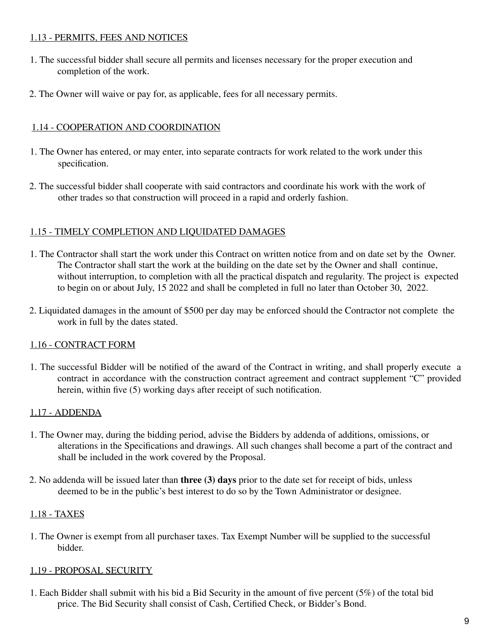## 1.13 - PERMITS, FEES AND NOTICES

- 1. The successful bidder shall secure all permits and licenses necessary for the proper execution and completion of the work.
- 2. The Owner will waive or pay for, as applicable, fees for all necessary permits.

## 1.14 - COOPERATION AND COORDINATION

- 1. The Owner has entered, or may enter, into separate contracts for work related to the work under this specification.
- 2. The successful bidder shall cooperate with said contractors and coordinate his work with the work of other trades so that construction will proceed in a rapid and orderly fashion.

## 1.15 - TIMELY COMPLETION AND LIQUIDATED DAMAGES

- 1. The Contractor shall start the work under this Contract on written notice from and on date set by the Owner. The Contractor shall start the work at the building on the date set by the Owner and shall continue, without interruption, to completion with all the practical dispatch and regularity. The project is expected to begin on or about July, 15 2022 and shall be completed in full no later than October 30, 2022.
- 2. Liquidated damages in the amount of \$500 per day may be enforced should the Contractor not complete the work in full by the dates stated.

## 1.16 - CONTRACT FORM

1. The successful Bidder will be notified of the award of the Contract in writing, and shall properly execute a contract in accordance with the construction contract agreement and contract supplement "C" provided herein, within five (5) working days after receipt of such notification.

## 1.17 - ADDENDA

- 1. The Owner may, during the bidding period, advise the Bidders by addenda of additions, omissions, or alterations in the Specifications and drawings. All such changes shall become a part of the contract and shall be included in the work covered by the Proposal.
- 2. No addenda will be issued later than **three (3) days** prior to the date set for receipt of bids, unless deemed to be in the public's best interest to do so by the Town Administrator or designee.

## 1.18 - TAXES

1. The Owner is exempt from all purchaser taxes. Tax Exempt Number will be supplied to the successful bidder.

## 1.19 - PROPOSAL SECURITY

1. Each Bidder shall submit with his bid a Bid Security in the amount of five percent (5%) of the total bid price. The Bid Security shall consist of Cash, Certified Check, or Bidder's Bond.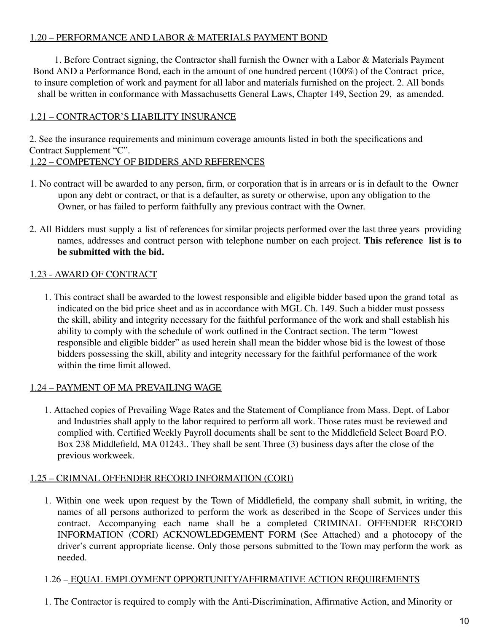## 1.20 – PERFORMANCE AND LABOR & MATERIALS PAYMENT BOND

1. Before Contract signing, the Contractor shall furnish the Owner with a Labor & Materials Payment Bond AND a Performance Bond, each in the amount of one hundred percent (100%) of the Contract price, to insure completion of work and payment for all labor and materials furnished on the project. 2. All bonds shall be written in conformance with Massachusetts General Laws, Chapter 149, Section 29, as amended.

## 1.21 – CONTRACTOR'S LIABILITY INSURANCE

2. See the insurance requirements and minimum coverage amounts listed in both the specifications and Contract Supplement "C".

## 1.22 – COMPETENCY OF BIDDERS AND REFERENCES

- 1. No contract will be awarded to any person, firm, or corporation that is in arrears or is in default to the Owner upon any debt or contract, or that is a defaulter, as surety or otherwise, upon any obligation to the Owner, or has failed to perform faithfully any previous contract with the Owner.
- 2. All Bidders must supply a list of references for similar projects performed over the last three years providing names, addresses and contract person with telephone number on each project. **This reference list is to be submitted with the bid.**

## 1.23 - AWARD OF CONTRACT

1. This contract shall be awarded to the lowest responsible and eligible bidder based upon the grand total as indicated on the bid price sheet and as in accordance with MGL Ch. 149. Such a bidder must possess the skill, ability and integrity necessary for the faithful performance of the work and shall establish his ability to comply with the schedule of work outlined in the Contract section. The term "lowest responsible and eligible bidder" as used herein shall mean the bidder whose bid is the lowest of those bidders possessing the skill, ability and integrity necessary for the faithful performance of the work within the time limit allowed.

## 1.24 – PAYMENT OF MA PREVAILING WAGE

1. Attached copies of Prevailing Wage Rates and the Statement of Compliance from Mass. Dept. of Labor and Industries shall apply to the labor required to perform all work. Those rates must be reviewed and complied with. Certified Weekly Payroll documents shall be sent to the Middlefield Select Board P.O. Box 238 Middlefield, MA 01243.. They shall be sent Three (3) business days after the close of the previous workweek.

## 1.25 – CRIMNAL OFFENDER RECORD INFORMATION (CORI)

1. Within one week upon request by the Town of Middlefield, the company shall submit, in writing, the names of all persons authorized to perform the work as described in the Scope of Services under this contract. Accompanying each name shall be a completed CRIMINAL OFFENDER RECORD INFORMATION (CORI) ACKNOWLEDGEMENT FORM (See Attached) and a photocopy of the driver's current appropriate license. Only those persons submitted to the Town may perform the work as needed.

## 1.26 – EQUAL EMPLOYMENT OPPORTUNITY/AFFIRMATIVE ACTION REQUIREMENTS

1. The Contractor is required to comply with the Anti-Discrimination, Affirmative Action, and Minority or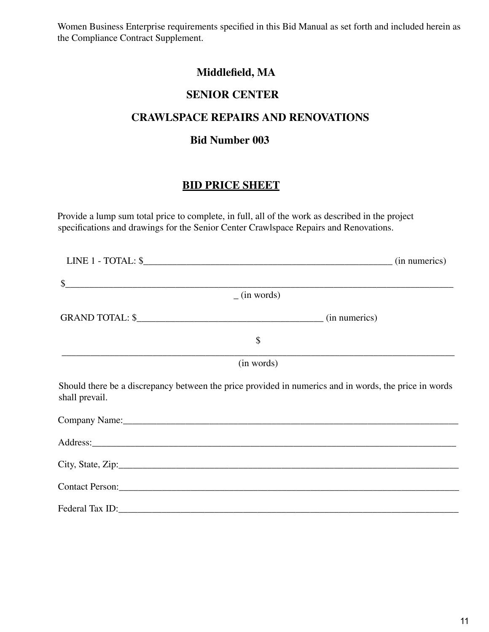Women Business Enterprise requirements specified in this Bid Manual as set forth and included herein as the Compliance Contract Supplement.

# **Middlefield, MA**

## **SENIOR CENTER**

## **CRAWLSPACE REPAIRS AND RENOVATIONS**

## **Bid Number 003**

# **BID PRICE SHEET**

Provide a lump sum total price to complete, in full, all of the work as described in the project specifications and drawings for the Senior Center Crawlspace Repairs and Renovations.

| $\sim$                                                                                                                                                                                                                         |                |  |
|--------------------------------------------------------------------------------------------------------------------------------------------------------------------------------------------------------------------------------|----------------|--|
|                                                                                                                                                                                                                                | $-$ (in words) |  |
| GRAND TOTAL: $\frac{\sqrt{2}}{2}$ (in numerics)                                                                                                                                                                                |                |  |
|                                                                                                                                                                                                                                | \$             |  |
|                                                                                                                                                                                                                                | (in words)     |  |
| Should there be a discrepancy between the price provided in numerics and in words, the price in words<br>shall prevail.                                                                                                        |                |  |
| Company Name: experience of the state of the state of the state of the state of the state of the state of the state of the state of the state of the state of the state of the state of the state of the state of the state of |                |  |
|                                                                                                                                                                                                                                |                |  |
|                                                                                                                                                                                                                                |                |  |
|                                                                                                                                                                                                                                |                |  |
|                                                                                                                                                                                                                                |                |  |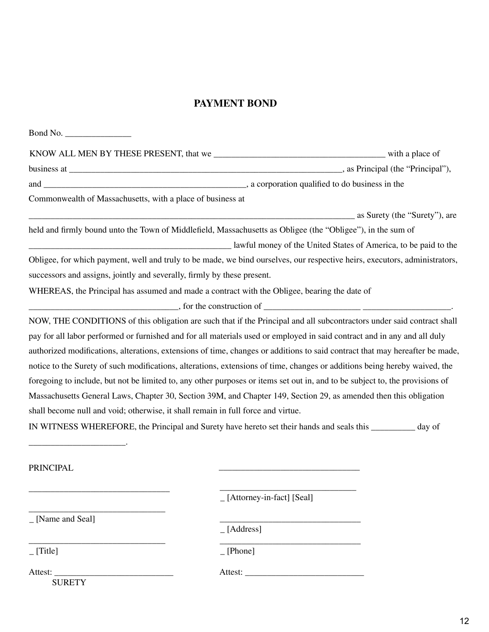## **PAYMENT BOND**

| Commonwealth of Massachusetts, with a place of business at                                                                   |                                               |  |
|------------------------------------------------------------------------------------------------------------------------------|-----------------------------------------------|--|
|                                                                                                                              | <b>EXECUTE:</b> as Surety (the "Surety"), are |  |
| held and firmly bound unto the Town of Middlefield, Massachusetts as Obligee (the "Obligee"), in the sum of                  |                                               |  |
| awful money of the United States of America, to be paid to the United States of America, to be paid to the                   |                                               |  |
| Obligee, for which payment, well and truly to be made, we bind ourselves, our respective heirs, executors, administrators,   |                                               |  |
| successors and assigns, jointly and severally, firmly by these present.                                                      |                                               |  |
| WHEREAS, the Principal has assumed and made a contract with the Obligee, bearing the date of                                 |                                               |  |
| $\frac{1}{1}$ , for the construction of $\frac{1}{1}$ .                                                                      |                                               |  |
| NOW, THE CONDITIONS of this obligation are such that if the Principal and all subcontractors under said contract shall       |                                               |  |
| pay for all labor performed or furnished and for all materials used or employed in said contract and in any and all duly     |                                               |  |
| authorized modifications, alterations, extensions of time, changes or additions to said contract that may hereafter be made, |                                               |  |
| notice to the Surety of such modifications, alterations, extensions of time, changes or additions being hereby waived, the   |                                               |  |
| foregoing to include, but not be limited to, any other purposes or items set out in, and to be subject to, the provisions of |                                               |  |
| Massachusetts General Laws, Chapter 30, Section 39M, and Chapter 149, Section 29, as amended then this obligation            |                                               |  |
| shall become null and void; otherwise, it shall remain in full force and virtue.                                             |                                               |  |
| IN WITNESS WHEREFORE, the Principal and Surety have hereto set their hands and seals this _________ day of                   |                                               |  |
|                                                                                                                              |                                               |  |
|                                                                                                                              |                                               |  |
| <b>PRINCIPAL</b>                                                                                                             |                                               |  |
|                                                                                                                              |                                               |  |
|                                                                                                                              | [Attorney-in-fact] [Seal]                     |  |
| _ [Name and Seal]                                                                                                            |                                               |  |
|                                                                                                                              | $\_$ [Address]                                |  |
| [Title]                                                                                                                      | [Phone]                                       |  |
| Attest:<br><b>SURETY</b>                                                                                                     |                                               |  |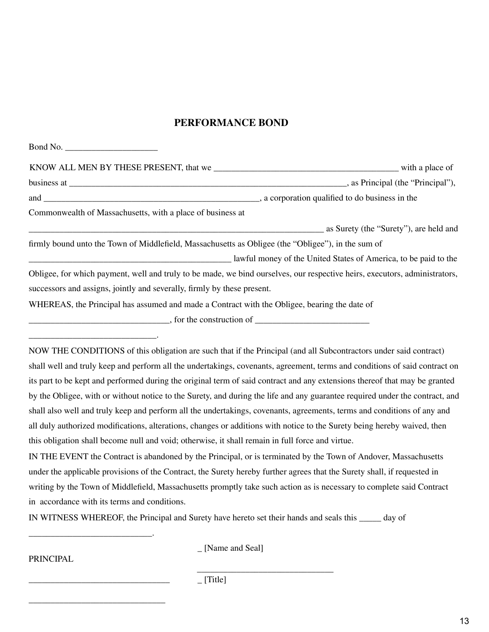### **PERFORMANCE BOND**

| Commonwealth of Massachusetts, with a place of business at                                                                 |                                        |
|----------------------------------------------------------------------------------------------------------------------------|----------------------------------------|
|                                                                                                                            | as Surety (the "Surety"), are held and |
| firmly bound unto the Town of Middlefield, Massachusetts as Obligee (the "Obligee"), in the sum of                         |                                        |
| awful money of the United States of America, to be paid to the United States of America, to be paid to the                 |                                        |
| Obligee, for which payment, well and truly to be made, we bind ourselves, our respective heirs, executors, administrators, |                                        |
| successors and assigns, jointly and severally, firmly by these present.                                                    |                                        |
| WHEREAS, the Principal has assumed and made a Contract with the Obligee, bearing the date of                               |                                        |
| $\frac{1}{2}$ , for the construction of $\frac{1}{2}$                                                                      |                                        |
|                                                                                                                            |                                        |

NOW THE CONDITIONS of this obligation are such that if the Principal (and all Subcontractors under said contract) shall well and truly keep and perform all the undertakings, covenants, agreement, terms and conditions of said contract on its part to be kept and performed during the original term of said contract and any extensions thereof that may be granted by the Obligee, with or without notice to the Surety, and during the life and any guarantee required under the contract, and shall also well and truly keep and perform all the undertakings, covenants, agreements, terms and conditions of any and all duly authorized modifications, alterations, changes or additions with notice to the Surety being hereby waived, then this obligation shall become null and void; otherwise, it shall remain in full force and virtue.

IN THE EVENT the Contract is abandoned by the Principal, or is terminated by the Town of Andover, Massachusetts under the applicable provisions of the Contract, the Surety hereby further agrees that the Surety shall, if requested in writing by the Town of Middlefield, Massachusetts promptly take such action as is necessary to complete said Contract in accordance with its terms and conditions.

IN WITNESS WHEREOF, the Principal and Surety have hereto set their hands and seals this \_\_\_\_\_ day of

PRINCIPAL

\_\_\_\_\_\_\_\_\_\_\_\_\_\_\_\_\_\_\_\_\_\_\_\_\_\_\_\_.

\_\_\_\_\_\_\_\_\_\_\_\_\_\_\_\_\_\_\_\_\_\_\_\_\_\_\_\_\_\_\_\_

\_\_\_\_\_\_\_\_\_\_\_\_\_\_\_\_\_\_\_\_\_\_\_\_\_\_\_\_\_\_\_

\_ [Name and Seal]

\_\_\_\_\_\_\_\_\_\_\_\_\_\_\_\_\_\_\_\_\_\_\_\_\_\_\_\_\_\_\_

 $[Title]$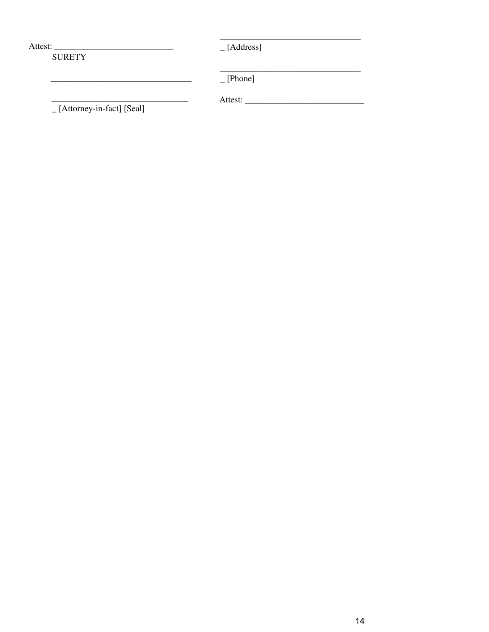$[-$ [Address]

**SURETY** 

 $[-$ [Phone]

[Attorney-in-fact] [Seal]

 $\begin{tabular}{ccccc} \multicolumn{2}{c|}{\textbf{1} & \multicolumn{2}{c|}{\textbf{2} & \multicolumn{2}{c|}{\textbf{3} & \multicolumn{2}{c|}{\textbf{4} & \multicolumn{2}{c|}{\textbf{5} & \multicolumn{2}{c|}{\textbf{6} & \multicolumn{2}{c|}{\textbf{6} & \multicolumn{2}{c|}{\textbf{6} & \multicolumn{2}{c|}{\textbf{6} & \multicolumn{2}{c|}{\textbf{6} & \multicolumn{2}{c|}{\textbf{6} & \multicolumn{2}{c|}{\textbf{6} & \multicolumn{2}{$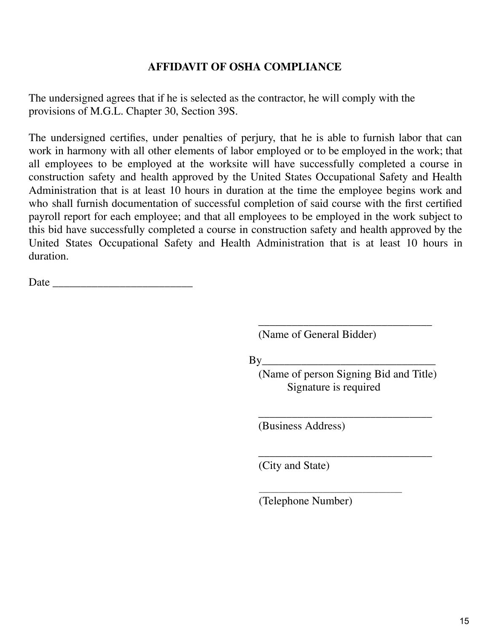## **AFFIDAVIT OF OSHA COMPLIANCE**

The undersigned agrees that if he is selected as the contractor, he will comply with the provisions of M.G.L. Chapter 30, Section 39S.

The undersigned certifies, under penalties of perjury, that he is able to furnish labor that can work in harmony with all other elements of labor employed or to be employed in the work; that all employees to be employed at the worksite will have successfully completed a course in construction safety and health approved by the United States Occupational Safety and Health Administration that is at least 10 hours in duration at the time the employee begins work and who shall furnish documentation of successful completion of said course with the first certified payroll report for each employee; and that all employees to be employed in the work subject to this bid have successfully completed a course in construction safety and health approved by the United States Occupational Safety and Health Administration that is at least 10 hours in duration.

Date  $\Box$ 

\_\_\_\_\_\_\_\_\_\_\_\_\_\_\_\_\_\_\_\_\_\_\_\_\_\_\_\_\_\_\_ (Name of General Bidder)

 $\mathbf{B} \mathbf{v}$ 

(Name of person Signing Bid and Title) Signature is required

\_\_\_\_\_\_\_\_\_\_\_\_\_\_\_\_\_\_\_\_\_\_\_\_\_\_\_\_\_\_\_

\_\_\_\_\_\_\_\_\_\_\_\_\_\_\_\_\_\_\_\_\_\_\_\_\_\_\_\_\_\_\_

\_\_\_\_\_\_\_\_\_\_\_\_\_\_\_\_\_\_\_\_\_\_\_\_\_\_\_\_\_\_\_\_\_\_\_\_

(Business Address)

(City and State)

(Telephone Number)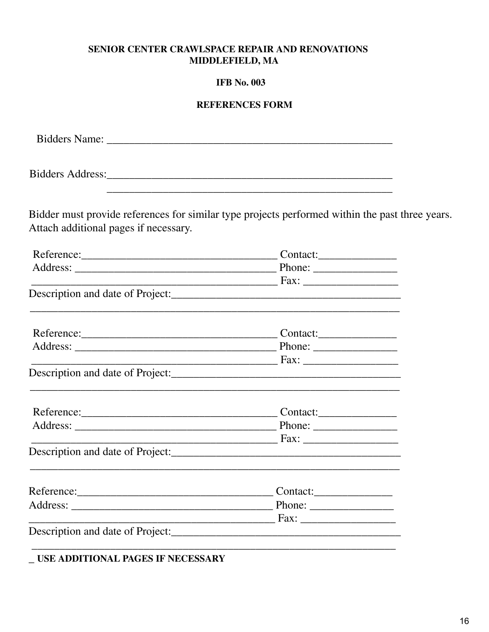## SENIOR CENTER CRAWLSPACE REPAIR AND RENOVATIONS MIDDLEFIELD, MA

## **IFB** No. 003

## **REFERENCES FORM**

|                                                                       | <u> 1989 - Johann Harry Harry Harry Harry Harry Harry Harry Harry Harry Harry Harry Harry Harry Harry Harry Harry</u> |  |
|-----------------------------------------------------------------------|-----------------------------------------------------------------------------------------------------------------------|--|
|                                                                       | Bidder must provide references for similar type projects performed within the past three years.                       |  |
| Attach additional pages if necessary.                                 |                                                                                                                       |  |
|                                                                       | Reference: Contact:                                                                                                   |  |
|                                                                       |                                                                                                                       |  |
|                                                                       |                                                                                                                       |  |
|                                                                       |                                                                                                                       |  |
|                                                                       | <u> 1989 - Johann John Stone, Amerikaansk politiker (d. 1989)</u>                                                     |  |
|                                                                       | Reference: Contact:                                                                                                   |  |
|                                                                       |                                                                                                                       |  |
|                                                                       |                                                                                                                       |  |
|                                                                       |                                                                                                                       |  |
|                                                                       | Reference: Contact:                                                                                                   |  |
|                                                                       |                                                                                                                       |  |
|                                                                       |                                                                                                                       |  |
|                                                                       |                                                                                                                       |  |
|                                                                       | $\qquad \qquad \qquad \text{contact:} \qquad \qquad \qquad$                                                           |  |
| Address:<br><u> 1980 - Jan Berlin, Amerikaansk politiker (* 1908)</u> | Phone: $\frac{1}{\sqrt{1-\frac{1}{2}} \cdot \frac{1}{2}}$                                                             |  |
|                                                                       | the control of the control of the control of the control of the control of                                            |  |
| Description and date of Project:                                      | <u> 1989 - Jan Barnett, amerikansk politik (d. 1989)</u>                                                              |  |
|                                                                       |                                                                                                                       |  |

 $\_$  USE ADDITIONAL PAGES IF NECESSARY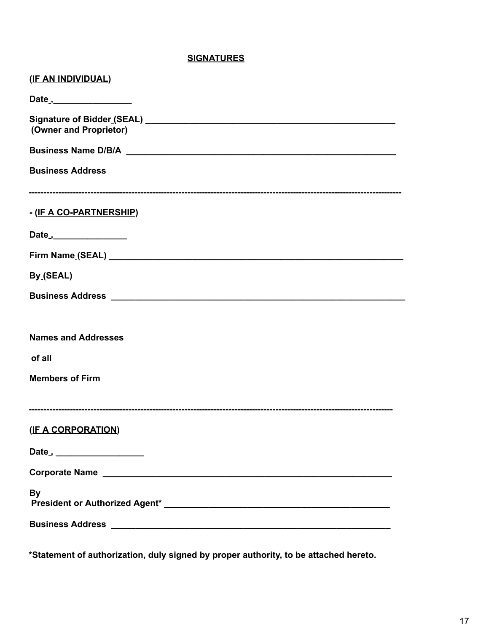#### **SIGNATURES**

| (IF AN INDIVIDUAL)                       |
|------------------------------------------|
| Date ,___________________                |
| (Owner and Proprietor)                   |
|                                          |
| <b>Business Address</b>                  |
| - (IF A CO-PARTNERSHIP)                  |
| Date <sub>.,</sub> __________________    |
|                                          |
| By (SEAL)                                |
|                                          |
| <b>Names and Addresses</b>               |
| of all                                   |
| <b>Members of Firm</b>                   |
| (IF A CORPORATION)                       |
| Date <sub>,</sub> ______________________ |
|                                          |
| <b>By</b>                                |
|                                          |

**\*Statement of authorization, duly signed by proper authority, to be attached hereto.**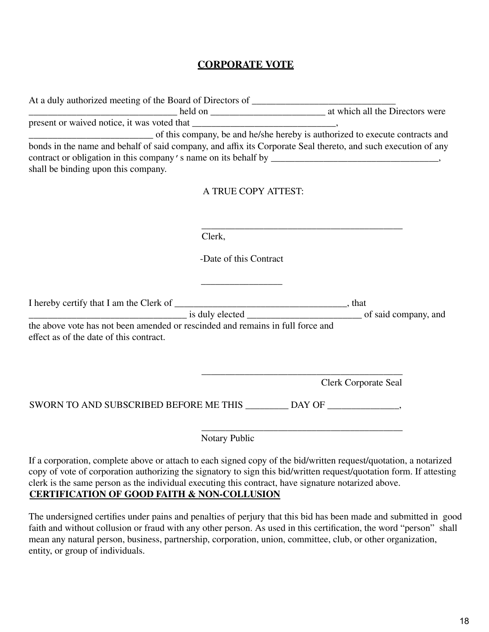## **CORPORATE VOTE**

|                                                                                                                           |                        | at which all the Directors were                                                                               |
|---------------------------------------------------------------------------------------------------------------------------|------------------------|---------------------------------------------------------------------------------------------------------------|
|                                                                                                                           |                        |                                                                                                               |
|                                                                                                                           |                        | of this company, be and he/she hereby is authorized to execute contracts and                                  |
|                                                                                                                           |                        | bonds in the name and behalf of said company, and affix its Corporate Seal thereto, and such execution of any |
|                                                                                                                           |                        |                                                                                                               |
| shall be binding upon this company.                                                                                       |                        |                                                                                                               |
|                                                                                                                           | A TRUE COPY ATTEST:    |                                                                                                               |
|                                                                                                                           |                        |                                                                                                               |
|                                                                                                                           |                        |                                                                                                               |
|                                                                                                                           |                        |                                                                                                               |
|                                                                                                                           | Clerk,                 |                                                                                                               |
|                                                                                                                           | -Date of this Contract |                                                                                                               |
|                                                                                                                           |                        |                                                                                                               |
|                                                                                                                           |                        |                                                                                                               |
|                                                                                                                           |                        |                                                                                                               |
|                                                                                                                           |                        |                                                                                                               |
|                                                                                                                           |                        |                                                                                                               |
| the above vote has not been amended or rescinded and remains in full force and<br>effect as of the date of this contract. |                        |                                                                                                               |
|                                                                                                                           |                        |                                                                                                               |
|                                                                                                                           |                        |                                                                                                               |
|                                                                                                                           |                        | <b>Clerk Corporate Seal</b>                                                                                   |
|                                                                                                                           |                        |                                                                                                               |
| SWORN TO AND SUBSCRIBED BEFORE ME THIS _________ DAY OF _________________________                                         |                        |                                                                                                               |
|                                                                                                                           |                        |                                                                                                               |
|                                                                                                                           |                        |                                                                                                               |
|                                                                                                                           | Notary Public          |                                                                                                               |

If a corporation, complete above or attach to each signed copy of the bid/written request/quotation, a notarized copy of vote of corporation authorizing the signatory to sign this bid/written request/quotation form. If attesting clerk is the same person as the individual executing this contract, have signature notarized above. **CERTIFICATION OF GOOD FAITH & NON-COLLUSION**

The undersigned certifies under pains and penalties of perjury that this bid has been made and submitted in good faith and without collusion or fraud with any other person. As used in this certification, the word "person" shall mean any natural person, business, partnership, corporation, union, committee, club, or other organization, entity, or group of individuals.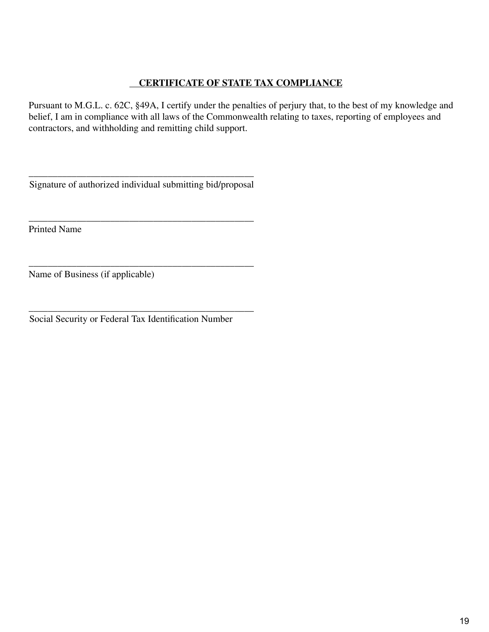## **CERTIFICATE OF STATE TAX COMPLIANCE**

Pursuant to M.G.L. c. 62C, §49A, I certify under the penalties of perjury that, to the best of my knowledge and belief, I am in compliance with all laws of the Commonwealth relating to taxes, reporting of employees and contractors, and withholding and remitting child support.

\_\_\_\_\_\_\_\_\_\_\_\_\_\_\_\_\_\_\_\_\_\_\_\_\_\_\_\_\_\_\_\_\_\_\_\_\_\_\_\_\_\_\_\_\_\_\_ Signature of authorized individual submitting bid/proposal

\_\_\_\_\_\_\_\_\_\_\_\_\_\_\_\_\_\_\_\_\_\_\_\_\_\_\_\_\_\_\_\_\_\_\_\_\_\_\_\_\_\_\_\_\_\_\_ Printed Name

\_\_\_\_\_\_\_\_\_\_\_\_\_\_\_\_\_\_\_\_\_\_\_\_\_\_\_\_\_\_\_\_\_\_\_\_\_\_\_\_\_\_\_\_\_\_\_ Name of Business (if applicable)

\_\_\_\_\_\_\_\_\_\_\_\_\_\_\_\_\_\_\_\_\_\_\_\_\_\_\_\_\_\_\_\_\_\_\_\_\_\_\_\_\_\_\_\_\_\_\_ Social Security or Federal Tax Identification Number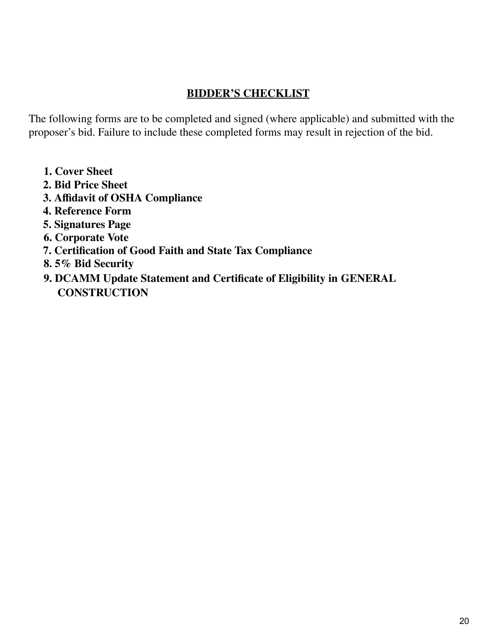# **BIDDER'S CHECKLIST**

The following forms are to be completed and signed (where applicable) and submitted with the proposer's bid. Failure to include these completed forms may result in rejection of the bid.

- **1. Cover Sheet**
- **2. Bid Price Sheet**
- **3. Affidavit of OSHA Compliance**
- **4. Reference Form**
- **5. Signatures Page**
- **6. Corporate Vote**
- **7. Certification of Good Faith and State Tax Compliance**
- **8. 5% Bid Security**
- **9. DCAMM Update Statement and Certificate of Eligibility in GENERAL CONSTRUCTION**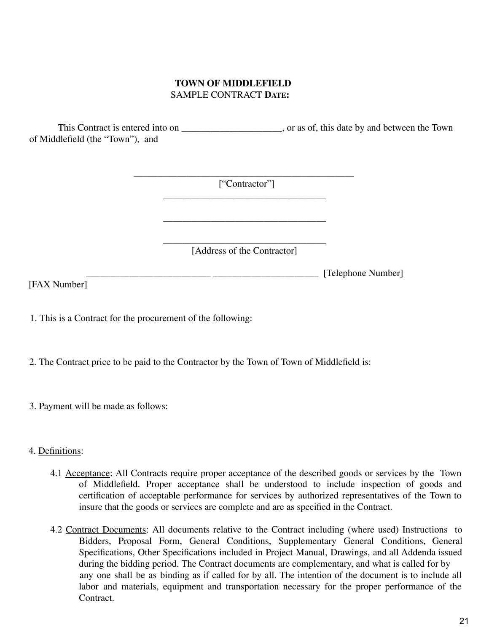## **TOWN OF MIDDLEFIELD** SAMPLE CONTRACT **DATE:**

This Contract is entered into on \_\_\_\_\_\_\_\_\_\_\_\_\_\_\_\_\_\_\_\_\_, or as of, this date by and between the Town of Middlefield (the "Town"), and

> $\overline{\phantom{a}}$  , and the contract of the contract of  $\overline{\phantom{a}}$ ["Contractor"] \_\_\_\_\_\_\_\_\_\_\_\_\_\_\_\_\_\_\_\_\_\_\_\_\_\_\_\_\_\_\_\_\_\_

> > \_\_\_\_\_\_\_\_\_\_\_\_\_\_\_\_\_\_\_\_\_\_\_\_\_\_\_\_\_\_\_\_\_\_ [Address of the Contractor]

> > > [Telephone Number]

\_\_\_\_\_\_\_\_\_\_\_\_\_\_\_\_\_\_\_\_\_\_\_\_\_\_\_\_\_\_\_\_\_\_

[FAX Number]

1. This is a Contract for the procurement of the following:

2. The Contract price to be paid to the Contractor by the Town of Town of Middlefield is:

3. Payment will be made as follows:

## 4. Definitions:

- 4.1 Acceptance: All Contracts require proper acceptance of the described goods or services by the Town of Middlefield. Proper acceptance shall be understood to include inspection of goods and certification of acceptable performance for services by authorized representatives of the Town to insure that the goods or services are complete and are as specified in the Contract.
- 4.2 Contract Documents: All documents relative to the Contract including (where used) Instructions to Bidders, Proposal Form, General Conditions, Supplementary General Conditions, General Specifications, Other Specifications included in Project Manual, Drawings, and all Addenda issued during the bidding period. The Contract documents are complementary, and what is called for by any one shall be as binding as if called for by all. The intention of the document is to include all labor and materials, equipment and transportation necessary for the proper performance of the Contract.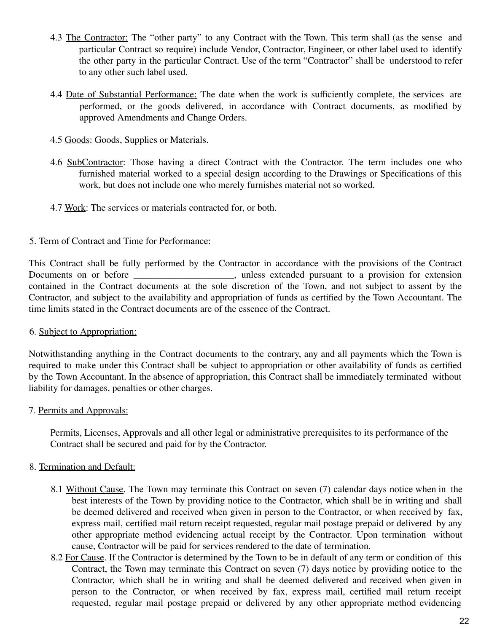- 4.3 The Contractor: The "other party" to any Contract with the Town. This term shall (as the sense and particular Contract so require) include Vendor, Contractor, Engineer, or other label used to identify the other party in the particular Contract. Use of the term "Contractor" shall be understood to refer to any other such label used.
- 4.4 Date of Substantial Performance: The date when the work is sufficiently complete, the services are performed, or the goods delivered, in accordance with Contract documents, as modified by approved Amendments and Change Orders.
- 4.5 Goods: Goods, Supplies or Materials.
- 4.6 SubContractor: Those having a direct Contract with the Contractor. The term includes one who furnished material worked to a special design according to the Drawings or Specifications of this work, but does not include one who merely furnishes material not so worked.
- 4.7 Work: The services or materials contracted for, or both.

#### 5. Term of Contract and Time for Performance:

This Contract shall be fully performed by the Contractor in accordance with the provisions of the Contract Documents on or before \_\_\_\_\_\_\_\_\_\_\_\_\_\_\_\_, unless extended pursuant to a provision for extension contained in the Contract documents at the sole discretion of the Town, and not subject to assent by the Contractor, and subject to the availability and appropriation of funds as certified by the Town Accountant. The time limits stated in the Contract documents are of the essence of the Contract.

#### 6. Subject to Appropriation:

Notwithstanding anything in the Contract documents to the contrary, any and all payments which the Town is required to make under this Contract shall be subject to appropriation or other availability of funds as certified by the Town Accountant. In the absence of appropriation, this Contract shall be immediately terminated without liability for damages, penalties or other charges.

#### 7. Permits and Approvals:

Permits, Licenses, Approvals and all other legal or administrative prerequisites to its performance of the Contract shall be secured and paid for by the Contractor.

## 8. Termination and Default:

- 8.1 Without Cause. The Town may terminate this Contract on seven (7) calendar days notice when in the best interests of the Town by providing notice to the Contractor, which shall be in writing and shall be deemed delivered and received when given in person to the Contractor, or when received by fax, express mail, certified mail return receipt requested, regular mail postage prepaid or delivered by any other appropriate method evidencing actual receipt by the Contractor. Upon termination without cause, Contractor will be paid for services rendered to the date of termination.
- 8.2 For Cause. If the Contractor is determined by the Town to be in default of any term or condition of this Contract, the Town may terminate this Contract on seven (7) days notice by providing notice to the Contractor, which shall be in writing and shall be deemed delivered and received when given in person to the Contractor, or when received by fax, express mail, certified mail return receipt requested, regular mail postage prepaid or delivered by any other appropriate method evidencing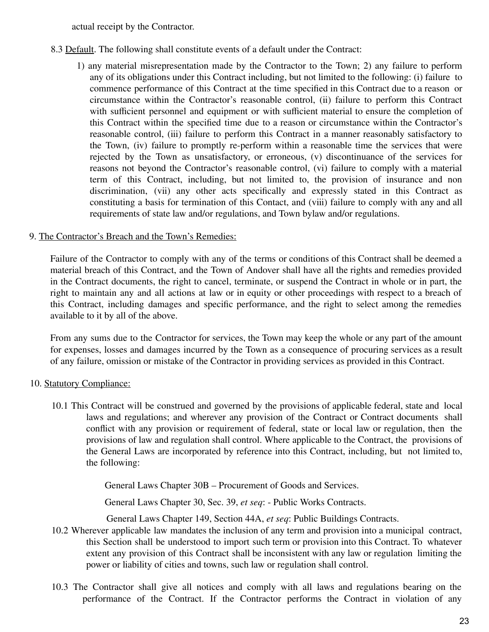actual receipt by the Contractor.

- 8.3 Default. The following shall constitute events of a default under the Contract:
	- 1) any material misrepresentation made by the Contractor to the Town; 2) any failure to perform any of its obligations under this Contract including, but not limited to the following: (i) failure to commence performance of this Contract at the time specified in this Contract due to a reason or circumstance within the Contractor's reasonable control, (ii) failure to perform this Contract with sufficient personnel and equipment or with sufficient material to ensure the completion of this Contract within the specified time due to a reason or circumstance within the Contractor's reasonable control, (iii) failure to perform this Contract in a manner reasonably satisfactory to the Town, (iv) failure to promptly re-perform within a reasonable time the services that were rejected by the Town as unsatisfactory, or erroneous, (v) discontinuance of the services for reasons not beyond the Contractor's reasonable control, (vi) failure to comply with a material term of this Contract, including, but not limited to, the provision of insurance and non discrimination, (vii) any other acts specifically and expressly stated in this Contract as constituting a basis for termination of this Contact, and (viii) failure to comply with any and all requirements of state law and/or regulations, and Town bylaw and/or regulations.

## 9. The Contractor's Breach and the Town's Remedies:

Failure of the Contractor to comply with any of the terms or conditions of this Contract shall be deemed a material breach of this Contract, and the Town of Andover shall have all the rights and remedies provided in the Contract documents, the right to cancel, terminate, or suspend the Contract in whole or in part, the right to maintain any and all actions at law or in equity or other proceedings with respect to a breach of this Contract, including damages and specific performance, and the right to select among the remedies available to it by all of the above.

From any sums due to the Contractor for services, the Town may keep the whole or any part of the amount for expenses, losses and damages incurred by the Town as a consequence of procuring services as a result of any failure, omission or mistake of the Contractor in providing services as provided in this Contract.

## 10. Statutory Compliance:

10.1 This Contract will be construed and governed by the provisions of applicable federal, state and local laws and regulations; and wherever any provision of the Contract or Contract documents shall conflict with any provision or requirement of federal, state or local law or regulation, then the provisions of law and regulation shall control. Where applicable to the Contract, the provisions of the General Laws are incorporated by reference into this Contract, including, but not limited to, the following:

General Laws Chapter 30B – Procurement of Goods and Services.

General Laws Chapter 30, Sec. 39, *et seq*: - Public Works Contracts.

General Laws Chapter 149, Section 44A, *et seq*: Public Buildings Contracts.

- 10.2 Wherever applicable law mandates the inclusion of any term and provision into a municipal contract, this Section shall be understood to import such term or provision into this Contract. To whatever extent any provision of this Contract shall be inconsistent with any law or regulation limiting the power or liability of cities and towns, such law or regulation shall control.
- 10.3 The Contractor shall give all notices and comply with all laws and regulations bearing on the performance of the Contract. If the Contractor performs the Contract in violation of any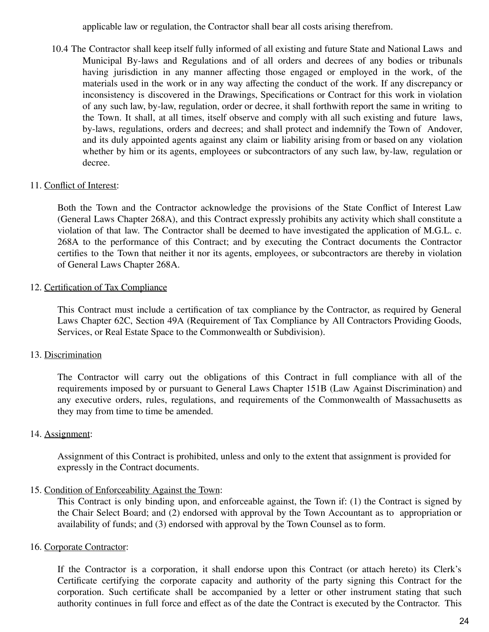applicable law or regulation, the Contractor shall bear all costs arising therefrom.

10.4 The Contractor shall keep itself fully informed of all existing and future State and National Laws and Municipal By-laws and Regulations and of all orders and decrees of any bodies or tribunals having jurisdiction in any manner affecting those engaged or employed in the work, of the materials used in the work or in any way affecting the conduct of the work. If any discrepancy or inconsistency is discovered in the Drawings, Specifications or Contract for this work in violation of any such law, by-law, regulation, order or decree, it shall forthwith report the same in writing to the Town. It shall, at all times, itself observe and comply with all such existing and future laws, by-laws, regulations, orders and decrees; and shall protect and indemnify the Town of Andover, and its duly appointed agents against any claim or liability arising from or based on any violation whether by him or its agents, employees or subcontractors of any such law, by-law, regulation or decree.

#### 11. Conflict of Interest:

Both the Town and the Contractor acknowledge the provisions of the State Conflict of Interest Law (General Laws Chapter 268A), and this Contract expressly prohibits any activity which shall constitute a violation of that law. The Contractor shall be deemed to have investigated the application of M.G.L. c. 268A to the performance of this Contract; and by executing the Contract documents the Contractor certifies to the Town that neither it nor its agents, employees, or subcontractors are thereby in violation of General Laws Chapter 268A.

#### 12. Certification of Tax Compliance

This Contract must include a certification of tax compliance by the Contractor, as required by General Laws Chapter 62C, Section 49A (Requirement of Tax Compliance by All Contractors Providing Goods, Services, or Real Estate Space to the Commonwealth or Subdivision).

## 13. Discrimination

The Contractor will carry out the obligations of this Contract in full compliance with all of the requirements imposed by or pursuant to General Laws Chapter 151B (Law Against Discrimination) and any executive orders, rules, regulations, and requirements of the Commonwealth of Massachusetts as they may from time to time be amended.

## 14. Assignment:

Assignment of this Contract is prohibited, unless and only to the extent that assignment is provided for expressly in the Contract documents.

## 15. Condition of Enforceability Against the Town:

This Contract is only binding upon, and enforceable against, the Town if: (1) the Contract is signed by the Chair Select Board; and (2) endorsed with approval by the Town Accountant as to appropriation or availability of funds; and (3) endorsed with approval by the Town Counsel as to form.

#### 16. Corporate Contractor:

If the Contractor is a corporation, it shall endorse upon this Contract (or attach hereto) its Clerk's Certificate certifying the corporate capacity and authority of the party signing this Contract for the corporation. Such certificate shall be accompanied by a letter or other instrument stating that such authority continues in full force and effect as of the date the Contract is executed by the Contractor. This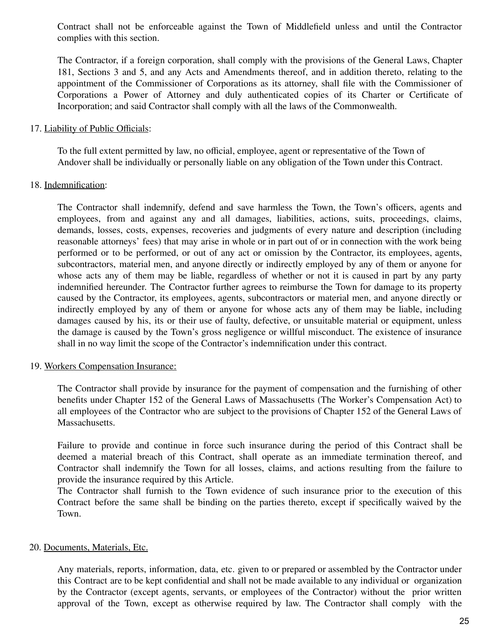Contract shall not be enforceable against the Town of Middlefield unless and until the Contractor complies with this section.

The Contractor, if a foreign corporation, shall comply with the provisions of the General Laws, Chapter 181, Sections 3 and 5, and any Acts and Amendments thereof, and in addition thereto, relating to the appointment of the Commissioner of Corporations as its attorney, shall file with the Commissioner of Corporations a Power of Attorney and duly authenticated copies of its Charter or Certificate of Incorporation; and said Contractor shall comply with all the laws of the Commonwealth.

#### 17. Liability of Public Officials:

To the full extent permitted by law, no official, employee, agent or representative of the Town of Andover shall be individually or personally liable on any obligation of the Town under this Contract.

#### 18. Indemnification:

The Contractor shall indemnify, defend and save harmless the Town, the Town's officers, agents and employees, from and against any and all damages, liabilities, actions, suits, proceedings, claims, demands, losses, costs, expenses, recoveries and judgments of every nature and description (including reasonable attorneys' fees) that may arise in whole or in part out of or in connection with the work being performed or to be performed, or out of any act or omission by the Contractor, its employees, agents, subcontractors, material men, and anyone directly or indirectly employed by any of them or anyone for whose acts any of them may be liable, regardless of whether or not it is caused in part by any party indemnified hereunder. The Contractor further agrees to reimburse the Town for damage to its property caused by the Contractor, its employees, agents, subcontractors or material men, and anyone directly or indirectly employed by any of them or anyone for whose acts any of them may be liable, including damages caused by his, its or their use of faulty, defective, or unsuitable material or equipment, unless the damage is caused by the Town's gross negligence or willful misconduct. The existence of insurance shall in no way limit the scope of the Contractor's indemnification under this contract.

#### 19. Workers Compensation Insurance:

The Contractor shall provide by insurance for the payment of compensation and the furnishing of other benefits under Chapter 152 of the General Laws of Massachusetts (The Worker's Compensation Act) to all employees of the Contractor who are subject to the provisions of Chapter 152 of the General Laws of Massachusetts.

Failure to provide and continue in force such insurance during the period of this Contract shall be deemed a material breach of this Contract, shall operate as an immediate termination thereof, and Contractor shall indemnify the Town for all losses, claims, and actions resulting from the failure to provide the insurance required by this Article.

The Contractor shall furnish to the Town evidence of such insurance prior to the execution of this Contract before the same shall be binding on the parties thereto, except if specifically waived by the Town.

#### 20. Documents, Materials, Etc.

Any materials, reports, information, data, etc. given to or prepared or assembled by the Contractor under this Contract are to be kept confidential and shall not be made available to any individual or organization by the Contractor (except agents, servants, or employees of the Contractor) without the prior written approval of the Town, except as otherwise required by law. The Contractor shall comply with the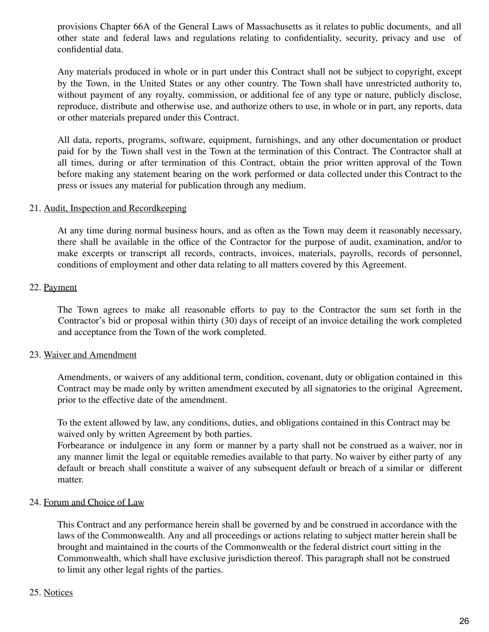provisions Chapter 66A of the General Laws of Massachusetts as it relates to public documents, and all other state and federal laws and regulations relating to confidentiality, security, privacy and use of confidential data.

Any materials produced in whole or in part under this Contract shall not be subject to copyright, except by the Town, in the United States or any other country. The Town shall have unrestricted authority to, without payment of any royalty, commission, or additional fee of any type or nature, publicly disclose, reproduce, distribute and otherwise use, and authorize others to use, in whole or in part, any reports, data or other materials prepared under this Contract.

All data, reports, programs, software, equipment, furnishings, and any other documentation or product paid for by the Town shall vest in the Town at the termination of this Contract. The Contractor shall at all times, during or after termination of this Contract, obtain the prior written approval of the Town before making any statement bearing on the work performed or data collected under this Contract to the press or issues any material for publication through any medium.

#### 21. Audit, Inspection and Recordkeeping

At any time during normal business hours, and as often as the Town may deem it reasonably necessary, there shall be available in the office of the Contractor for the purpose of audit, examination, and/or to make excerpts or transcript all records, contracts, invoices, materials, payrolls, records of personnel, conditions of employment and other data relating to all matters covered by this Agreement.

#### 22. Payment

The Town agrees to make all reasonable efforts to pay to the Contractor the sum set forth in the Contractor's bid or proposal within thirty (30) days of receipt of an invoice detailing the work completed and acceptance from the Town of the work completed.

#### 23. Waiver and Amendment

Amendments, or waivers of any additional term, condition, covenant, duty or obligation contained in this Contract may be made only by written amendment executed by all signatories to the original Agreement, prior to the effective date of the amendment.

To the extent allowed by law, any conditions, duties, and obligations contained in this Contract may be waived only by written Agreement by both parties.

Forbearance or indulgence in any form or manner by a party shall not be construed as a waiver, nor in any manner limit the legal or equitable remedies available to that party. No waiver by either party of any default or breach shall constitute a waiver of any subsequent default or breach of a similar or different matter.

#### 24. Forum and Choice of Law

This Contract and any performance herein shall be governed by and be construed in accordance with the laws of the Commonwealth. Any and all proceedings or actions relating to subject matter herein shall be brought and maintained in the courts of the Commonwealth or the federal district court sitting in the Commonwealth, which shall have exclusive jurisdiction thereof. This paragraph shall not be construed to limit any other legal rights of the parties.

#### 25. Notices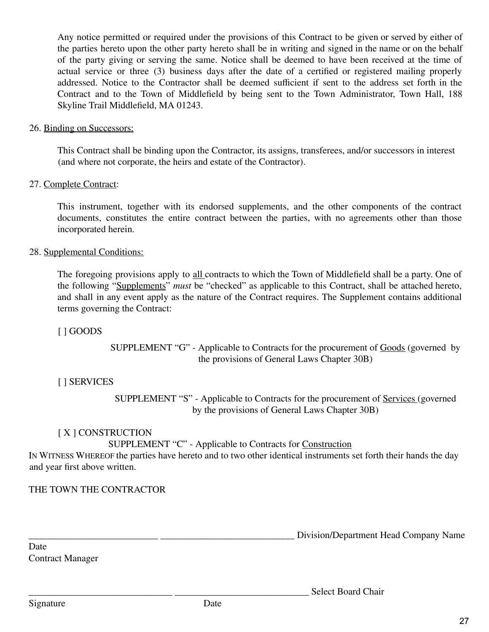Any notice permitted or required under the provisions of this Contract to be given or served by either of the parties hereto upon the other party hereto shall be in writing and signed in the name or on the behalf of the party giving or serving the same. Notice shall be deemed to have been received at the time of actual service or three (3) business days after the date of a certified or registered mailing properly addressed. Notice to the Contractor shall be deemed sufficient if sent to the address set forth in the Contract and to the Town of Middlefield by being sent to the Town Administrator, Town Hall, 188 Skyline Trail Middlefield, MA 01243.

#### 26. Binding on Successors:

This Contract shall be binding upon the Contractor, its assigns, transferees, and/or successors in interest (and where not corporate, the heirs and estate of the Contractor).

#### 27. Complete Contract:

This instrument, together with its endorsed supplements, and the other components of the contract documents, constitutes the entire contract between the parties, with no agreements other than those incorporated herein.

#### 28. Supplemental Conditions:

The foregoing provisions apply to all contracts to which the Town of Middlefield shall be a party. One of the following "Supplements" *must* be "checked" as applicable to this Contract, shall be attached hereto, and shall in any event apply as the nature of the Contract requires. The Supplement contains additional terms governing the Contract:

#### [ ] GOODS

SUPPLEMENT "G" - Applicable to Contracts for the procurement of Goods (governed by the provisions of General Laws Chapter 30B)

## [ ] SERVICES

SUPPLEMENT "S" - Applicable to Contracts for the procurement of Services (governed by the provisions of General Laws Chapter 30B)

## [X] CONSTRUCTION

SUPPLEMENT "C" - Applicable to Contracts for Construction

IN WITNESS WHEREOF the parties have hereto and to two other identical instruments set forth their hands the day and year first above written.

## THE TOWN THE CONTRACTOR

\_\_\_\_\_\_\_\_\_\_\_\_\_\_\_\_\_\_\_\_\_\_\_\_\_\_\_ \_\_\_\_\_\_\_\_\_\_\_\_\_\_\_\_\_\_\_\_\_\_\_\_\_\_\_\_ Division/Department Head Company Name

Select Board Chair

Date Contract Manager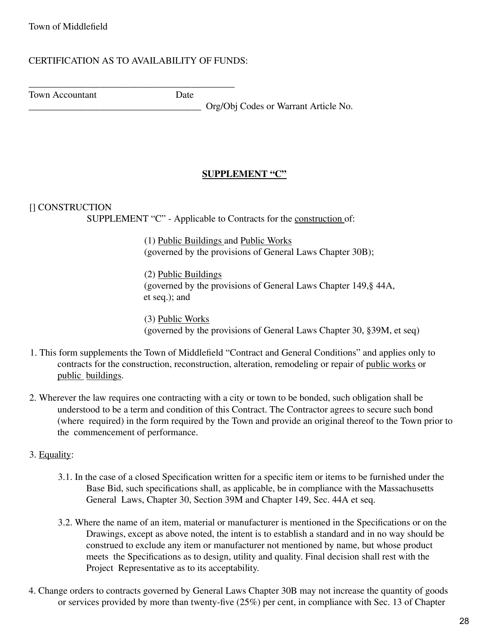## CERTIFICATION AS TO AVAILABILITY OF FUNDS:

\_\_\_\_\_\_\_\_\_\_\_\_\_\_\_\_\_\_\_\_\_\_\_\_\_\_\_\_\_\_\_\_\_\_\_\_\_\_\_\_\_\_\_

Town Accountant Date

\_\_\_\_\_\_\_\_\_\_\_\_\_\_\_\_\_\_\_\_\_\_\_\_\_\_\_\_\_\_\_\_\_\_\_\_ Org/Obj Codes or Warrant Article No.

## **SUPPLEMENT "C"**

#### [] CONSTRUCTION

SUPPLEMENT "C" - Applicable to Contracts for the construction of:

(1) Public Buildings and Public Works (governed by the provisions of General Laws Chapter 30B);

(2) Public Buildings (governed by the provisions of General Laws Chapter 149,§ 44A, et seq.); and

(3) Public Works (governed by the provisions of General Laws Chapter 30, §39M, et seq)

- 1. This form supplements the Town of Middlefield "Contract and General Conditions" and applies only to contracts for the construction, reconstruction, alteration, remodeling or repair of public works or public buildings.
- 2. Wherever the law requires one contracting with a city or town to be bonded, such obligation shall be understood to be a term and condition of this Contract. The Contractor agrees to secure such bond (where required) in the form required by the Town and provide an original thereof to the Town prior to the commencement of performance.
- 3. Equality:
	- 3.1. In the case of a closed Specification written for a specific item or items to be furnished under the Base Bid, such specifications shall, as applicable, be in compliance with the Massachusetts General Laws, Chapter 30, Section 39M and Chapter 149, Sec. 44A et seq.
	- 3.2. Where the name of an item, material or manufacturer is mentioned in the Specifications or on the Drawings, except as above noted, the intent is to establish a standard and in no way should be construed to exclude any item or manufacturer not mentioned by name, but whose product meets the Specifications as to design, utility and quality. Final decision shall rest with the Project Representative as to its acceptability.
- 4. Change orders to contracts governed by General Laws Chapter 30B may not increase the quantity of goods or services provided by more than twenty-five (25%) per cent, in compliance with Sec. 13 of Chapter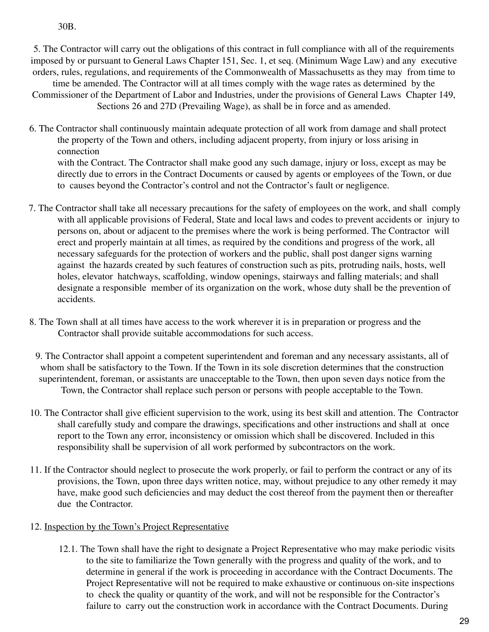30B.

5. The Contractor will carry out the obligations of this contract in full compliance with all of the requirements imposed by or pursuant to General Laws Chapter 151, Sec. 1, et seq. (Minimum Wage Law) and any executive orders, rules, regulations, and requirements of the Commonwealth of Massachusetts as they may from time to time be amended. The Contractor will at all times comply with the wage rates as determined by the Commissioner of the Department of Labor and Industries, under the provisions of General Laws Chapter 149, Sections 26 and 27D (Prevailing Wage), as shall be in force and as amended.

- 6. The Contractor shall continuously maintain adequate protection of all work from damage and shall protect the property of the Town and others, including adjacent property, from injury or loss arising in connection with the Contract. The Contractor shall make good any such damage, injury or loss, except as may be directly due to errors in the Contract Documents or caused by agents or employees of the Town, or due to causes beyond the Contractor's control and not the Contractor's fault or negligence.
- 7. The Contractor shall take all necessary precautions for the safety of employees on the work, and shall comply with all applicable provisions of Federal, State and local laws and codes to prevent accidents or injury to persons on, about or adjacent to the premises where the work is being performed. The Contractor will erect and properly maintain at all times, as required by the conditions and progress of the work, all necessary safeguards for the protection of workers and the public, shall post danger signs warning against the hazards created by such features of construction such as pits, protruding nails, hosts, well holes, elevator hatchways, scaffolding, window openings, stairways and falling materials; and shall designate a responsible member of its organization on the work, whose duty shall be the prevention of accidents.
- 8. The Town shall at all times have access to the work wherever it is in preparation or progress and the Contractor shall provide suitable accommodations for such access.
- 9. The Contractor shall appoint a competent superintendent and foreman and any necessary assistants, all of whom shall be satisfactory to the Town. If the Town in its sole discretion determines that the construction superintendent, foreman, or assistants are unacceptable to the Town, then upon seven days notice from the Town, the Contractor shall replace such person or persons with people acceptable to the Town.
- 10. The Contractor shall give efficient supervision to the work, using its best skill and attention. The Contractor shall carefully study and compare the drawings, specifications and other instructions and shall at once report to the Town any error, inconsistency or omission which shall be discovered. Included in this responsibility shall be supervision of all work performed by subcontractors on the work.
- 11. If the Contractor should neglect to prosecute the work properly, or fail to perform the contract or any of its provisions, the Town, upon three days written notice, may, without prejudice to any other remedy it may have, make good such deficiencies and may deduct the cost thereof from the payment then or thereafter due the Contractor.

## 12. Inspection by the Town's Project Representative

12.1. The Town shall have the right to designate a Project Representative who may make periodic visits to the site to familiarize the Town generally with the progress and quality of the work, and to determine in general if the work is proceeding in accordance with the Contract Documents. The Project Representative will not be required to make exhaustive or continuous on-site inspections to check the quality or quantity of the work, and will not be responsible for the Contractor's failure to carry out the construction work in accordance with the Contract Documents. During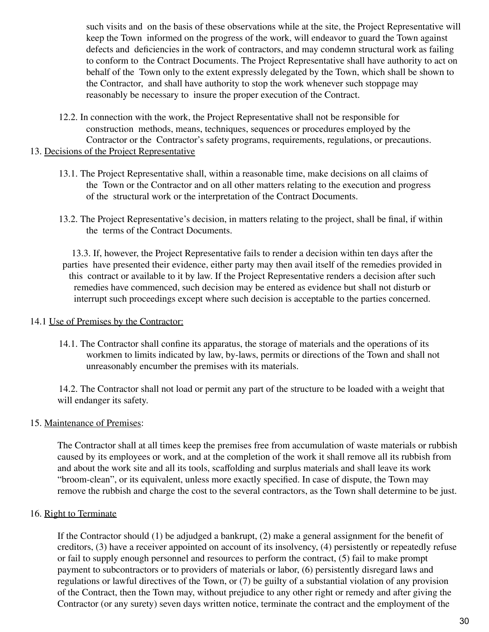such visits and on the basis of these observations while at the site, the Project Representative will keep the Town informed on the progress of the work, will endeavor to guard the Town against defects and deficiencies in the work of contractors, and may condemn structural work as failing to conform to the Contract Documents. The Project Representative shall have authority to act on behalf of the Town only to the extent expressly delegated by the Town, which shall be shown to the Contractor, and shall have authority to stop the work whenever such stoppage may reasonably be necessary to insure the proper execution of the Contract.

12.2. In connection with the work, the Project Representative shall not be responsible for construction methods, means, techniques, sequences or procedures employed by the Contractor or the Contractor's safety programs, requirements, regulations, or precautions.

## 13. Decisions of the Project Representative

- 13.1. The Project Representative shall, within a reasonable time, make decisions on all claims of the Town or the Contractor and on all other matters relating to the execution and progress of the structural work or the interpretation of the Contract Documents.
- 13.2. The Project Representative's decision, in matters relating to the project, shall be final, if within the terms of the Contract Documents.

13.3. If, however, the Project Representative fails to render a decision within ten days after the parties have presented their evidence, either party may then avail itself of the remedies provided in this contract or available to it by law. If the Project Representative renders a decision after such remedies have commenced, such decision may be entered as evidence but shall not disturb or interrupt such proceedings except where such decision is acceptable to the parties concerned.

#### 14.1 Use of Premises by the Contractor:

14.1. The Contractor shall confine its apparatus, the storage of materials and the operations of its workmen to limits indicated by law, by-laws, permits or directions of the Town and shall not unreasonably encumber the premises with its materials.

14.2. The Contractor shall not load or permit any part of the structure to be loaded with a weight that will endanger its safety.

## 15. Maintenance of Premises:

The Contractor shall at all times keep the premises free from accumulation of waste materials or rubbish caused by its employees or work, and at the completion of the work it shall remove all its rubbish from and about the work site and all its tools, scaffolding and surplus materials and shall leave its work "broom-clean", or its equivalent, unless more exactly specified. In case of dispute, the Town may remove the rubbish and charge the cost to the several contractors, as the Town shall determine to be just.

## 16. Right to Terminate

If the Contractor should (1) be adjudged a bankrupt, (2) make a general assignment for the benefit of creditors, (3) have a receiver appointed on account of its insolvency, (4) persistently or repeatedly refuse or fail to supply enough personnel and resources to perform the contract, (5) fail to make prompt payment to subcontractors or to providers of materials or labor, (6) persistently disregard laws and regulations or lawful directives of the Town, or (7) be guilty of a substantial violation of any provision of the Contract, then the Town may, without prejudice to any other right or remedy and after giving the Contractor (or any surety) seven days written notice, terminate the contract and the employment of the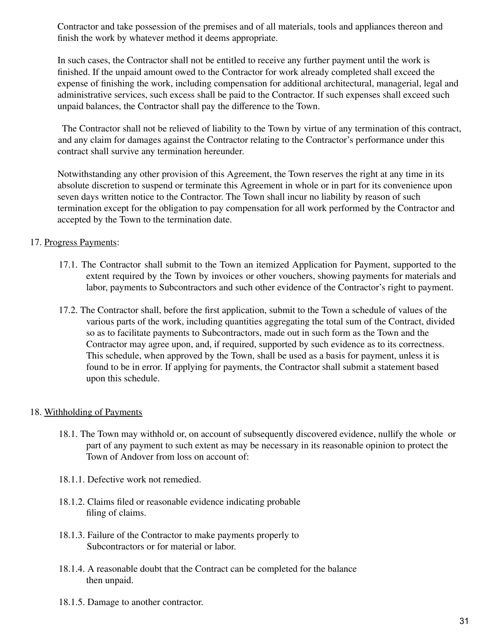Contractor and take possession of the premises and of all materials, tools and appliances thereon and finish the work by whatever method it deems appropriate.

In such cases, the Contractor shall not be entitled to receive any further payment until the work is finished. If the unpaid amount owed to the Contractor for work already completed shall exceed the expense of finishing the work, including compensation for additional architectural, managerial, legal and administrative services, such excess shall be paid to the Contractor. If such expenses shall exceed such unpaid balances, the Contractor shall pay the difference to the Town.

The Contractor shall not be relieved of liability to the Town by virtue of any termination of this contract, and any claim for damages against the Contractor relating to the Contractor's performance under this contract shall survive any termination hereunder.

Notwithstanding any other provision of this Agreement, the Town reserves the right at any time in its absolute discretion to suspend or terminate this Agreement in whole or in part for its convenience upon seven days written notice to the Contractor. The Town shall incur no liability by reason of such termination except for the obligation to pay compensation for all work performed by the Contractor and accepted by the Town to the termination date.

## 17. Progress Payments:

- 17.1. The Contractor shall submit to the Town an itemized Application for Payment, supported to the extent required by the Town by invoices or other vouchers, showing payments for materials and labor, payments to Subcontractors and such other evidence of the Contractor's right to payment.
- 17.2. The Contractor shall, before the first application, submit to the Town a schedule of values of the various parts of the work, including quantities aggregating the total sum of the Contract, divided so as to facilitate payments to Subcontractors, made out in such form as the Town and the Contractor may agree upon, and, if required, supported by such evidence as to its correctness. This schedule, when approved by the Town, shall be used as a basis for payment, unless it is found to be in error. If applying for payments, the Contractor shall submit a statement based upon this schedule.

#### 18. Withholding of Payments

- 18.1. The Town may withhold or, on account of subsequently discovered evidence, nullify the whole or part of any payment to such extent as may be necessary in its reasonable opinion to protect the Town of Andover from loss on account of:
- 18.1.1. Defective work not remedied.
- 18.1.2. Claims filed or reasonable evidence indicating probable filing of claims.
- 18.1.3. Failure of the Contractor to make payments properly to Subcontractors or for material or labor.
- 18.1.4. A reasonable doubt that the Contract can be completed for the balance then unpaid.
- 18.1.5. Damage to another contractor.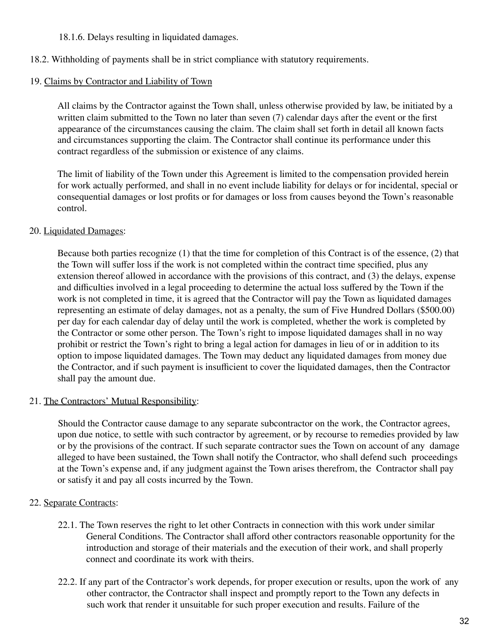## 18.1.6. Delays resulting in liquidated damages.

18.2. Withholding of payments shall be in strict compliance with statutory requirements.

## 19. Claims by Contractor and Liability of Town

All claims by the Contractor against the Town shall, unless otherwise provided by law, be initiated by a written claim submitted to the Town no later than seven (7) calendar days after the event or the first appearance of the circumstances causing the claim. The claim shall set forth in detail all known facts and circumstances supporting the claim. The Contractor shall continue its performance under this contract regardless of the submission or existence of any claims.

The limit of liability of the Town under this Agreement is limited to the compensation provided herein for work actually performed, and shall in no event include liability for delays or for incidental, special or consequential damages or lost profits or for damages or loss from causes beyond the Town's reasonable control.

## 20. Liquidated Damages:

Because both parties recognize (1) that the time for completion of this Contract is of the essence, (2) that the Town will suffer loss if the work is not completed within the contract time specified, plus any extension thereof allowed in accordance with the provisions of this contract, and (3) the delays, expense and difficulties involved in a legal proceeding to determine the actual loss suffered by the Town if the work is not completed in time, it is agreed that the Contractor will pay the Town as liquidated damages representing an estimate of delay damages, not as a penalty, the sum of Five Hundred Dollars (\$500.00) per day for each calendar day of delay until the work is completed, whether the work is completed by the Contractor or some other person. The Town's right to impose liquidated damages shall in no way prohibit or restrict the Town's right to bring a legal action for damages in lieu of or in addition to its option to impose liquidated damages. The Town may deduct any liquidated damages from money due the Contractor, and if such payment is insufficient to cover the liquidated damages, then the Contractor shall pay the amount due.

## 21. The Contractors' Mutual Responsibility:

Should the Contractor cause damage to any separate subcontractor on the work, the Contractor agrees, upon due notice, to settle with such contractor by agreement, or by recourse to remedies provided by law or by the provisions of the contract. If such separate contractor sues the Town on account of any damage alleged to have been sustained, the Town shall notify the Contractor, who shall defend such proceedings at the Town's expense and, if any judgment against the Town arises therefrom, the Contractor shall pay or satisfy it and pay all costs incurred by the Town.

## 22. Separate Contracts:

- 22.1. The Town reserves the right to let other Contracts in connection with this work under similar General Conditions. The Contractor shall afford other contractors reasonable opportunity for the introduction and storage of their materials and the execution of their work, and shall properly connect and coordinate its work with theirs.
- 22.2. If any part of the Contractor's work depends, for proper execution or results, upon the work of any other contractor, the Contractor shall inspect and promptly report to the Town any defects in such work that render it unsuitable for such proper execution and results. Failure of the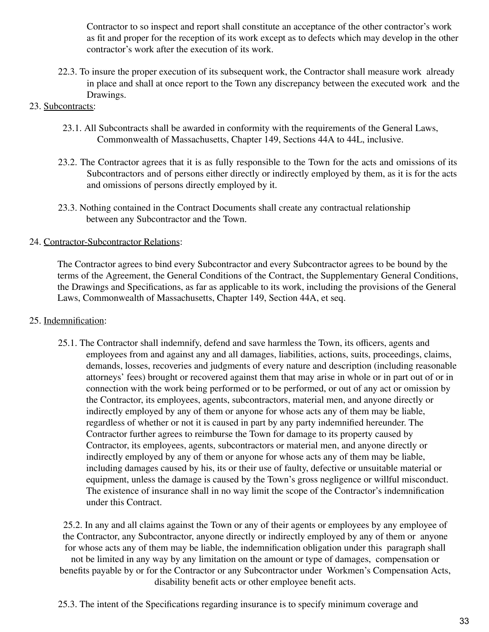Contractor to so inspect and report shall constitute an acceptance of the other contractor's work as fit and proper for the reception of its work except as to defects which may develop in the other contractor's work after the execution of its work.

22.3. To insure the proper execution of its subsequent work, the Contractor shall measure work already in place and shall at once report to the Town any discrepancy between the executed work and the Drawings.

### 23. Subcontracts:

- 23.1. All Subcontracts shall be awarded in conformity with the requirements of the General Laws, Commonwealth of Massachusetts, Chapter 149, Sections 44A to 44L, inclusive.
- 23.2. The Contractor agrees that it is as fully responsible to the Town for the acts and omissions of its Subcontractors and of persons either directly or indirectly employed by them, as it is for the acts and omissions of persons directly employed by it.
- 23.3. Nothing contained in the Contract Documents shall create any contractual relationship between any Subcontractor and the Town.

## 24. Contractor-Subcontractor Relations:

The Contractor agrees to bind every Subcontractor and every Subcontractor agrees to be bound by the terms of the Agreement, the General Conditions of the Contract, the Supplementary General Conditions, the Drawings and Specifications, as far as applicable to its work, including the provisions of the General Laws, Commonwealth of Massachusetts, Chapter 149, Section 44A, et seq.

#### 25. Indemnification:

25.1. The Contractor shall indemnify, defend and save harmless the Town, its officers, agents and employees from and against any and all damages, liabilities, actions, suits, proceedings, claims, demands, losses, recoveries and judgments of every nature and description (including reasonable attorneys' fees) brought or recovered against them that may arise in whole or in part out of or in connection with the work being performed or to be performed, or out of any act or omission by the Contractor, its employees, agents, subcontractors, material men, and anyone directly or indirectly employed by any of them or anyone for whose acts any of them may be liable, regardless of whether or not it is caused in part by any party indemnified hereunder. The Contractor further agrees to reimburse the Town for damage to its property caused by Contractor, its employees, agents, subcontractors or material men, and anyone directly or indirectly employed by any of them or anyone for whose acts any of them may be liable, including damages caused by his, its or their use of faulty, defective or unsuitable material or equipment, unless the damage is caused by the Town's gross negligence or willful misconduct. The existence of insurance shall in no way limit the scope of the Contractor's indemnification under this Contract.

25.2. In any and all claims against the Town or any of their agents or employees by any employee of the Contractor, any Subcontractor, anyone directly or indirectly employed by any of them or anyone for whose acts any of them may be liable, the indemnification obligation under this paragraph shall not be limited in any way by any limitation on the amount or type of damages, compensation or benefits payable by or for the Contractor or any Subcontractor under Workmen's Compensation Acts, disability benefit acts or other employee benefit acts.

25.3. The intent of the Specifications regarding insurance is to specify minimum coverage and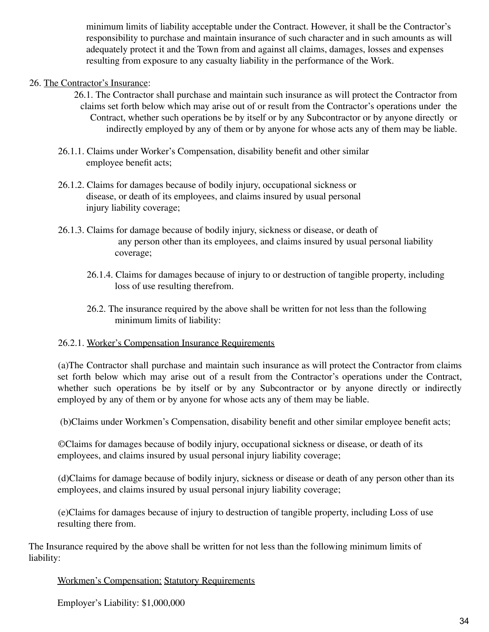minimum limits of liability acceptable under the Contract. However, it shall be the Contractor's responsibility to purchase and maintain insurance of such character and in such amounts as will adequately protect it and the Town from and against all claims, damages, losses and expenses resulting from exposure to any casualty liability in the performance of the Work.

## 26. The Contractor's Insurance:

- 26.1. The Contractor shall purchase and maintain such insurance as will protect the Contractor from claims set forth below which may arise out of or result from the Contractor's operations under the Contract, whether such operations be by itself or by any Subcontractor or by anyone directly or indirectly employed by any of them or by anyone for whose acts any of them may be liable.
- 26.1.1. Claims under Worker's Compensation, disability benefit and other similar employee benefit acts;
- 26.1.2. Claims for damages because of bodily injury, occupational sickness or disease, or death of its employees, and claims insured by usual personal injury liability coverage;
- 26.1.3. Claims for damage because of bodily injury, sickness or disease, or death of any person other than its employees, and claims insured by usual personal liability coverage;
	- 26.1.4. Claims for damages because of injury to or destruction of tangible property, including loss of use resulting therefrom.
	- 26.2. The insurance required by the above shall be written for not less than the following minimum limits of liability:

#### 26.2.1. Worker's Compensation Insurance Requirements

(a)The Contractor shall purchase and maintain such insurance as will protect the Contractor from claims set forth below which may arise out of a result from the Contractor's operations under the Contract, whether such operations be by itself or by any Subcontractor or by anyone directly or indirectly employed by any of them or by anyone for whose acts any of them may be liable.

(b)Claims under Workmen's Compensation, disability benefit and other similar employee benefit acts;

©Claims for damages because of bodily injury, occupational sickness or disease, or death of its employees, and claims insured by usual personal injury liability coverage;

(d)Claims for damage because of bodily injury, sickness or disease or death of any person other than its employees, and claims insured by usual personal injury liability coverage;

(e)Claims for damages because of injury to destruction of tangible property, including Loss of use resulting there from.

The Insurance required by the above shall be written for not less than the following minimum limits of liability:

## Workmen's Compensation: Statutory Requirements

Employer's Liability: \$1,000,000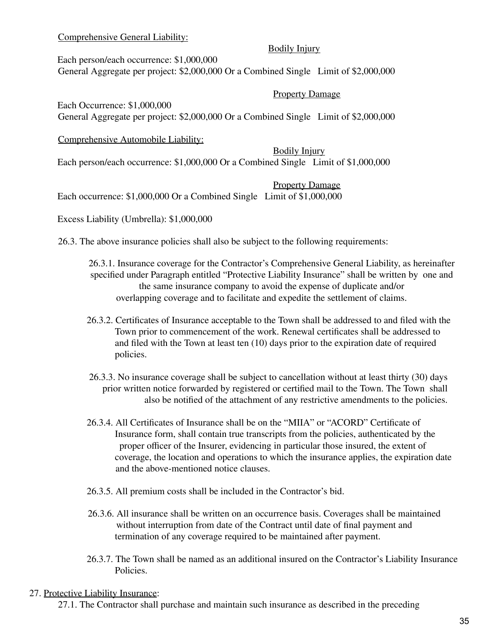## Comprehensive General Liability:

### Bodily Injury

Each person/each occurrence: \$1,000,000 General Aggregate per project: \$2,000,000 Or a Combined Single Limit of \$2,000,000

### Property Damage

Each Occurrence: \$1,000,000 General Aggregate per project: \$2,000,000 Or a Combined Single Limit of \$2,000,000

Comprehensive Automobile Liability:

Bodily Injury Each person/each occurrence: \$1,000,000 Or a Combined Single Limit of \$1,000,000

Property Damage

Each occurrence: \$1,000,000 Or a Combined Single Limit of \$1,000,000

Excess Liability (Umbrella): \$1,000,000

26.3. The above insurance policies shall also be subject to the following requirements:

26.3.1. Insurance coverage for the Contractor's Comprehensive General Liability, as hereinafter specified under Paragraph entitled "Protective Liability Insurance" shall be written by one and the same insurance company to avoid the expense of duplicate and/or overlapping coverage and to facilitate and expedite the settlement of claims.

- 26.3.2. Certificates of Insurance acceptable to the Town shall be addressed to and filed with the Town prior to commencement of the work. Renewal certificates shall be addressed to and filed with the Town at least ten (10) days prior to the expiration date of required policies.
- 26.3.3. No insurance coverage shall be subject to cancellation without at least thirty (30) days prior written notice forwarded by registered or certified mail to the Town. The Town shall also be notified of the attachment of any restrictive amendments to the policies.
- 26.3.4. All Certificates of Insurance shall be on the "MIIA" or "ACORD" Certificate of Insurance form, shall contain true transcripts from the policies, authenticated by the proper officer of the Insurer, evidencing in particular those insured, the extent of coverage, the location and operations to which the insurance applies, the expiration date and the above-mentioned notice clauses.
- 26.3.5. All premium costs shall be included in the Contractor's bid.
- 26.3.6. All insurance shall be written on an occurrence basis. Coverages shall be maintained without interruption from date of the Contract until date of final payment and termination of any coverage required to be maintained after payment.
- 26.3.7. The Town shall be named as an additional insured on the Contractor's Liability Insurance **Policies**

#### 27. Protective Liability Insurance:

27.1. The Contractor shall purchase and maintain such insurance as described in the preceding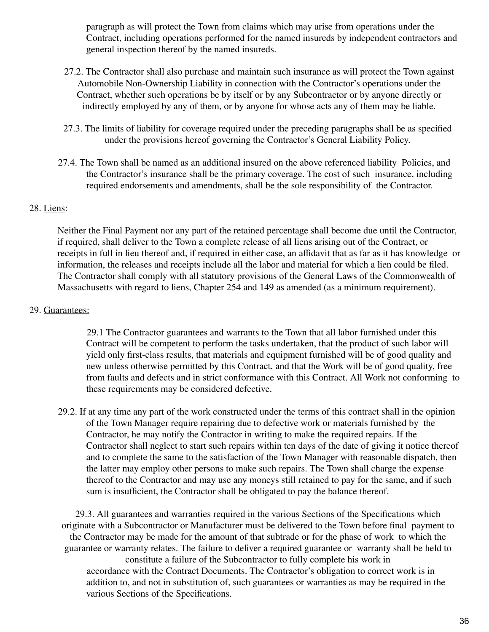paragraph as will protect the Town from claims which may arise from operations under the Contract, including operations performed for the named insureds by independent contractors and general inspection thereof by the named insureds.

- 27.2. The Contractor shall also purchase and maintain such insurance as will protect the Town against Automobile Non-Ownership Liability in connection with the Contractor's operations under the Contract, whether such operations be by itself or by any Subcontractor or by anyone directly or indirectly employed by any of them, or by anyone for whose acts any of them may be liable.
- 27.3. The limits of liability for coverage required under the preceding paragraphs shall be as specified under the provisions hereof governing the Contractor's General Liability Policy.
- 27.4. The Town shall be named as an additional insured on the above referenced liability Policies, and the Contractor's insurance shall be the primary coverage. The cost of such insurance, including required endorsements and amendments, shall be the sole responsibility of the Contractor.

#### 28. Liens:

Neither the Final Payment nor any part of the retained percentage shall become due until the Contractor, if required, shall deliver to the Town a complete release of all liens arising out of the Contract, or receipts in full in lieu thereof and, if required in either case, an affidavit that as far as it has knowledge or information, the releases and receipts include all the labor and material for which a lien could be filed. The Contractor shall comply with all statutory provisions of the General Laws of the Commonwealth of Massachusetts with regard to liens, Chapter 254 and 149 as amended (as a minimum requirement).

#### 29. Guarantees:

29.1 The Contractor guarantees and warrants to the Town that all labor furnished under this Contract will be competent to perform the tasks undertaken, that the product of such labor will yield only first-class results, that materials and equipment furnished will be of good quality and new unless otherwise permitted by this Contract, and that the Work will be of good quality, free from faults and defects and in strict conformance with this Contract. All Work not conforming to these requirements may be considered defective.

29.2. If at any time any part of the work constructed under the terms of this contract shall in the opinion of the Town Manager require repairing due to defective work or materials furnished by the Contractor, he may notify the Contractor in writing to make the required repairs. If the Contractor shall neglect to start such repairs within ten days of the date of giving it notice thereof and to complete the same to the satisfaction of the Town Manager with reasonable dispatch, then the latter may employ other persons to make such repairs. The Town shall charge the expense thereof to the Contractor and may use any moneys still retained to pay for the same, and if such sum is insufficient, the Contractor shall be obligated to pay the balance thereof.

29.3. All guarantees and warranties required in the various Sections of the Specifications which originate with a Subcontractor or Manufacturer must be delivered to the Town before final payment to the Contractor may be made for the amount of that subtrade or for the phase of work to which the guarantee or warranty relates. The failure to deliver a required guarantee or warranty shall be held to constitute a failure of the Subcontractor to fully complete his work in accordance with the Contract Documents. The Contractor's obligation to correct work is in addition to, and not in substitution of, such guarantees or warranties as may be required in the various Sections of the Specifications.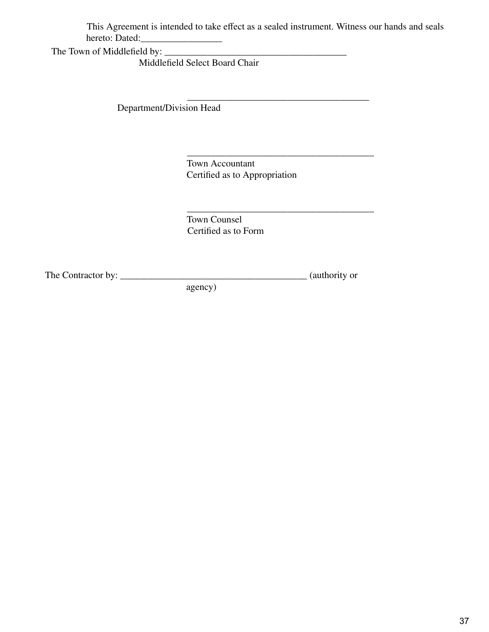This Agreement is intended to take effect as a sealed instrument. Witness our hands and seals  $\overline{\phantom{a}}$  . Define the definition of  $\overline{\phantom{a}}$ 

The Town of Middlefield by: \_\_\_\_\_\_\_\_\_\_\_\_\_\_\_\_\_\_\_\_\_\_\_\_\_\_\_\_\_\_\_\_\_\_\_\_\_\_

Middlefield Select Board Chair

\_\_\_\_\_\_\_\_\_\_\_\_\_\_\_\_\_\_\_\_\_\_\_\_\_\_\_\_\_\_\_\_\_\_\_\_\_\_ Department/Division Head

> Town Accountant Certified as to Appropriation

\_\_\_\_\_\_\_\_\_\_\_\_\_\_\_\_\_\_\_\_\_\_\_\_\_\_\_\_\_\_\_\_\_\_\_\_\_\_\_ Town Counsel Certified as to Form

The Contractor by: \_\_\_\_\_\_\_\_\_\_\_\_\_\_\_\_\_\_\_\_\_\_\_\_\_\_\_\_\_\_\_\_\_\_\_\_\_\_\_ (authority or

 $\overline{\phantom{a}}$  , and the state of the state of the state of the state of the state of the state of the state of the state of the state of the state of the state of the state of the state of the state of the state of the stat

agency)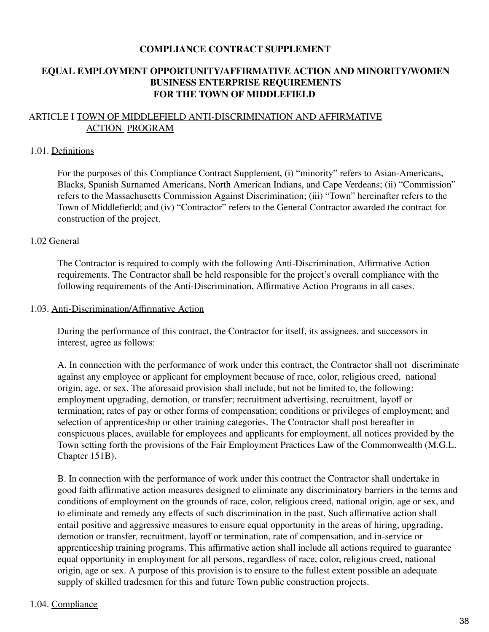### **COMPLIANCE CONTRACT SUPPLEMENT**

## **EQUAL EMPLOYMENT OPPORTUNITY/AFFIRMATIVE ACTION AND MINORITY/WOMEN BUSINESS ENTERPRISE REQUIREMENTS FOR THE TOWN OF MIDDLEFIELD**

## ARTICLE I TOWN OF MIDDLEFIELD ANTI-DISCRIMINATION AND AFFIRMATIVE ACTION PROGRAM

#### 1.01. Definitions

For the purposes of this Compliance Contract Supplement, (i) "minority" refers to Asian-Americans, Blacks, Spanish Surnamed Americans, North American Indians, and Cape Verdeans; (ii) "Commission" refers to the Massachusetts Commission Against Discrimination; (iii) "Town" hereinafter refers to the Town of Middlefierld; and (iv) "Contractor" refers to the General Contractor awarded the contract for construction of the project.

#### 1.02 General

The Contractor is required to comply with the following Anti-Discrimination, Affirmative Action requirements. The Contractor shall be held responsible for the project's overall compliance with the following requirements of the Anti-Discrimination, Affirmative Action Programs in all cases.

#### 1.03. Anti-Discrimination/Affirmative Action

During the performance of this contract, the Contractor for itself, its assignees, and successors in interest, agree as follows:

A. In connection with the performance of work under this contract, the Contractor shall not discriminate against any employee or applicant for employment because of race, color, religious creed, national origin, age, or sex. The aforesaid provision shall include, but not be limited to, the following: employment upgrading, demotion, or transfer; recruitment advertising, recruitment, layoff or termination; rates of pay or other forms of compensation; conditions or privileges of employment; and selection of apprenticeship or other training categories. The Contractor shall post hereafter in conspicuous places, available for employees and applicants for employment, all notices provided by the Town setting forth the provisions of the Fair Employment Practices Law of the Commonwealth (M.G.L. Chapter 151B).

B. In connection with the performance of work under this contract the Contractor shall undertake in good faith affirmative action measures designed to eliminate any discriminatory barriers in the terms and conditions of employment on the grounds of race, color, religious creed, national origin, age or sex, and to eliminate and remedy any effects of such discrimination in the past. Such affirmative action shall entail positive and aggressive measures to ensure equal opportunity in the areas of hiring, upgrading, demotion or transfer, recruitment, layoff or termination, rate of compensation, and in-service or apprenticeship training programs. This affirmative action shall include all actions required to guarantee equal opportunity in employment for all persons, regardless of race, color, religious creed, national origin, age or sex. A purpose of this provision is to ensure to the fullest extent possible an adequate supply of skilled tradesmen for this and future Town public construction projects.

#### 1.04. Compliance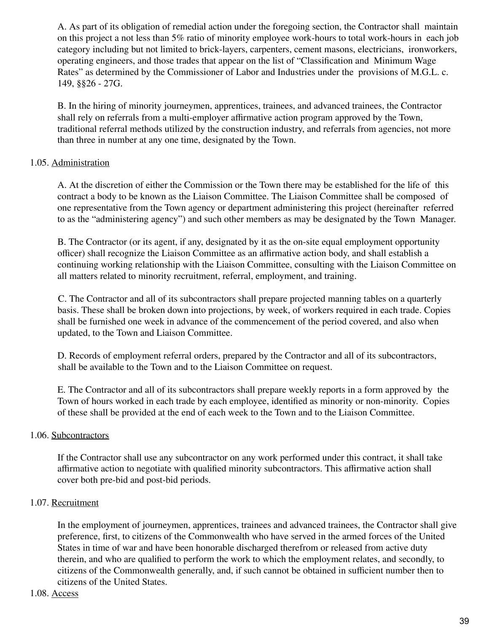A. As part of its obligation of remedial action under the foregoing section, the Contractor shall maintain on this project a not less than 5% ratio of minority employee work-hours to total work-hours in each job category including but not limited to brick-layers, carpenters, cement masons, electricians, ironworkers, operating engineers, and those trades that appear on the list of "Classification and Minimum Wage Rates" as determined by the Commissioner of Labor and Industries under the provisions of M.G.L. c. 149, §§26 - 27G.

B. In the hiring of minority journeymen, apprentices, trainees, and advanced trainees, the Contractor shall rely on referrals from a multi-employer affirmative action program approved by the Town, traditional referral methods utilized by the construction industry, and referrals from agencies, not more than three in number at any one time, designated by the Town.

## 1.05. Administration

A. At the discretion of either the Commission or the Town there may be established for the life of this contract a body to be known as the Liaison Committee. The Liaison Committee shall be composed of one representative from the Town agency or department administering this project (hereinafter referred to as the "administering agency") and such other members as may be designated by the Town Manager.

B. The Contractor (or its agent, if any, designated by it as the on-site equal employment opportunity officer) shall recognize the Liaison Committee as an affirmative action body, and shall establish a continuing working relationship with the Liaison Committee, consulting with the Liaison Committee on all matters related to minority recruitment, referral, employment, and training.

C. The Contractor and all of its subcontractors shall prepare projected manning tables on a quarterly basis. These shall be broken down into projections, by week, of workers required in each trade. Copies shall be furnished one week in advance of the commencement of the period covered, and also when updated, to the Town and Liaison Committee.

D. Records of employment referral orders, prepared by the Contractor and all of its subcontractors, shall be available to the Town and to the Liaison Committee on request.

E. The Contractor and all of its subcontractors shall prepare weekly reports in a form approved by the Town of hours worked in each trade by each employee, identified as minority or non-minority. Copies of these shall be provided at the end of each week to the Town and to the Liaison Committee.

## 1.06. Subcontractors

If the Contractor shall use any subcontractor on any work performed under this contract, it shall take affirmative action to negotiate with qualified minority subcontractors. This affirmative action shall cover both pre-bid and post-bid periods.

## 1.07. Recruitment

In the employment of journeymen, apprentices, trainees and advanced trainees, the Contractor shall give preference, first, to citizens of the Commonwealth who have served in the armed forces of the United States in time of war and have been honorable discharged therefrom or released from active duty therein, and who are qualified to perform the work to which the employment relates, and secondly, to citizens of the Commonwealth generally, and, if such cannot be obtained in sufficient number then to citizens of the United States.

#### 1.08. Access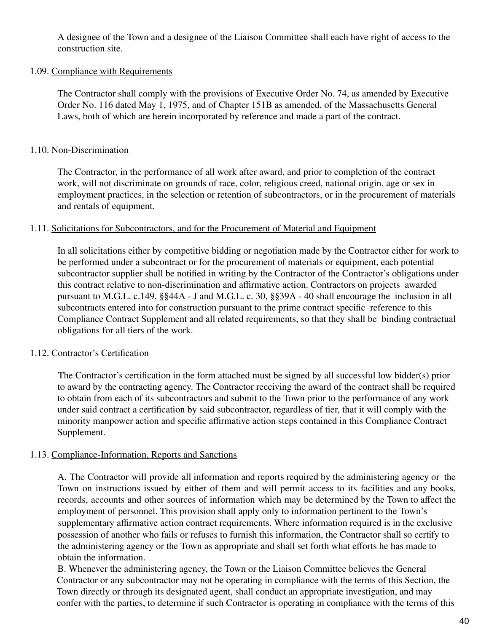A designee of the Town and a designee of the Liaison Committee shall each have right of access to the construction site.

#### 1.09. Compliance with Requirements

The Contractor shall comply with the provisions of Executive Order No. 74, as amended by Executive Order No. 116 dated May 1, 1975, and of Chapter 151B as amended, of the Massachusetts General Laws, both of which are herein incorporated by reference and made a part of the contract.

### 1.10. Non-Discrimination

The Contractor, in the performance of all work after award, and prior to completion of the contract work, will not discriminate on grounds of race, color, religious creed, national origin, age or sex in employment practices, in the selection or retention of subcontractors, or in the procurement of materials and rentals of equipment.

#### 1.11. Solicitations for Subcontractors, and for the Procurement of Material and Equipment

In all solicitations either by competitive bidding or negotiation made by the Contractor either for work to be performed under a subcontract or for the procurement of materials or equipment, each potential subcontractor supplier shall be notified in writing by the Contractor of the Contractor's obligations under this contract relative to non-discrimination and affirmative action. Contractors on projects awarded pursuant to M.G.L. c.149, §§44A - J and M.G.L. c. 30, §§39A - 40 shall encourage the inclusion in all subcontracts entered into for construction pursuant to the prime contract specific reference to this Compliance Contract Supplement and all related requirements, so that they shall be binding contractual obligations for all tiers of the work.

#### 1.12. Contractor's Certification

The Contractor's certification in the form attached must be signed by all successful low bidder(s) prior to award by the contracting agency. The Contractor receiving the award of the contract shall be required to obtain from each of its subcontractors and submit to the Town prior to the performance of any work under said contract a certification by said subcontractor, regardless of tier, that it will comply with the minority manpower action and specific affirmative action steps contained in this Compliance Contract Supplement.

#### 1.13. Compliance-Information, Reports and Sanctions

A. The Contractor will provide all information and reports required by the administering agency or the Town on instructions issued by either of them and will permit access to its facilities and any books, records, accounts and other sources of information which may be determined by the Town to affect the employment of personnel. This provision shall apply only to information pertinent to the Town's supplementary affirmative action contract requirements. Where information required is in the exclusive possession of another who fails or refuses to furnish this information, the Contractor shall so certify to the administering agency or the Town as appropriate and shall set forth what efforts he has made to obtain the information.

B. Whenever the administering agency, the Town or the Liaison Committee believes the General Contractor or any subcontractor may not be operating in compliance with the terms of this Section, the Town directly or through its designated agent, shall conduct an appropriate investigation, and may confer with the parties, to determine if such Contractor is operating in compliance with the terms of this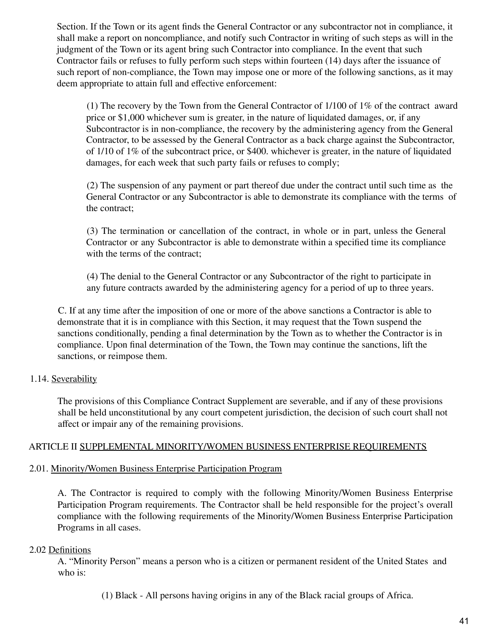Section. If the Town or its agent finds the General Contractor or any subcontractor not in compliance, it shall make a report on noncompliance, and notify such Contractor in writing of such steps as will in the judgment of the Town or its agent bring such Contractor into compliance. In the event that such Contractor fails or refuses to fully perform such steps within fourteen (14) days after the issuance of such report of non-compliance, the Town may impose one or more of the following sanctions, as it may deem appropriate to attain full and effective enforcement:

(1) The recovery by the Town from the General Contractor of 1/100 of 1% of the contract award price or \$1,000 whichever sum is greater, in the nature of liquidated damages, or, if any Subcontractor is in non-compliance, the recovery by the administering agency from the General Contractor, to be assessed by the General Contractor as a back charge against the Subcontractor, of 1/10 of 1% of the subcontract price, or \$400. whichever is greater, in the nature of liquidated damages, for each week that such party fails or refuses to comply;

(2) The suspension of any payment or part thereof due under the contract until such time as the General Contractor or any Subcontractor is able to demonstrate its compliance with the terms of the contract;

(3) The termination or cancellation of the contract, in whole or in part, unless the General Contractor or any Subcontractor is able to demonstrate within a specified time its compliance with the terms of the contract;

(4) The denial to the General Contractor or any Subcontractor of the right to participate in any future contracts awarded by the administering agency for a period of up to three years.

C. If at any time after the imposition of one or more of the above sanctions a Contractor is able to demonstrate that it is in compliance with this Section, it may request that the Town suspend the sanctions conditionally, pending a final determination by the Town as to whether the Contractor is in compliance. Upon final determination of the Town, the Town may continue the sanctions, lift the sanctions, or reimpose them.

## 1.14. Severability

The provisions of this Compliance Contract Supplement are severable, and if any of these provisions shall be held unconstitutional by any court competent jurisdiction, the decision of such court shall not affect or impair any of the remaining provisions.

## ARTICLE II SUPPLEMENTAL MINORITY/WOMEN BUSINESS ENTERPRISE REQUIREMENTS

## 2.01. Minority/Women Business Enterprise Participation Program

A. The Contractor is required to comply with the following Minority/Women Business Enterprise Participation Program requirements. The Contractor shall be held responsible for the project's overall compliance with the following requirements of the Minority/Women Business Enterprise Participation Programs in all cases.

#### 2.02 Definitions

A. "Minority Person" means a person who is a citizen or permanent resident of the United States and who is:

(1) Black - All persons having origins in any of the Black racial groups of Africa.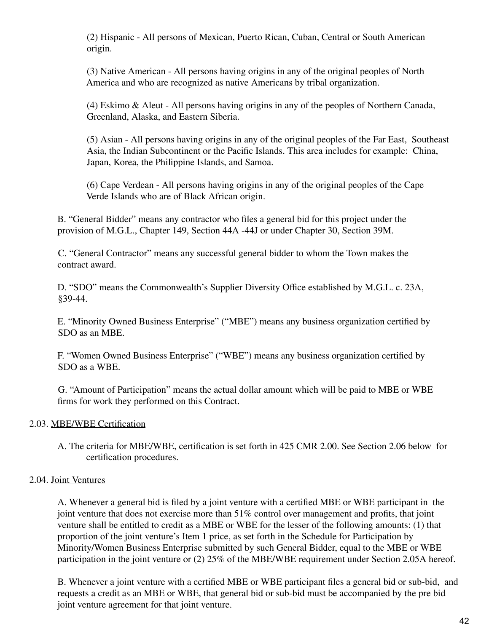(2) Hispanic - All persons of Mexican, Puerto Rican, Cuban, Central or South American origin.

(3) Native American - All persons having origins in any of the original peoples of North America and who are recognized as native Americans by tribal organization.

(4) Eskimo & Aleut - All persons having origins in any of the peoples of Northern Canada, Greenland, Alaska, and Eastern Siberia.

(5) Asian - All persons having origins in any of the original peoples of the Far East, Southeast Asia, the Indian Subcontinent or the Pacific Islands. This area includes for example: China, Japan, Korea, the Philippine Islands, and Samoa.

(6) Cape Verdean - All persons having origins in any of the original peoples of the Cape Verde Islands who are of Black African origin.

B. "General Bidder" means any contractor who files a general bid for this project under the provision of M.G.L., Chapter 149, Section 44A -44J or under Chapter 30, Section 39M.

C. "General Contractor" means any successful general bidder to whom the Town makes the contract award.

D. "SDO" means the Commonwealth's Supplier Diversity Office established by M.G.L. c. 23A, §39-44.

E. "Minority Owned Business Enterprise" ("MBE") means any business organization certified by SDO as an MBE.

F. "Women Owned Business Enterprise" ("WBE") means any business organization certified by SDO as a WBE.

G. "Amount of Participation" means the actual dollar amount which will be paid to MBE or WBE firms for work they performed on this Contract.

## 2.03. MBE/WBE Certification

A. The criteria for MBE/WBE, certification is set forth in 425 CMR 2.00. See Section 2.06 below for certification procedures.

## 2.04. Joint Ventures

A. Whenever a general bid is filed by a joint venture with a certified MBE or WBE participant in the joint venture that does not exercise more than 51% control over management and profits, that joint venture shall be entitled to credit as a MBE or WBE for the lesser of the following amounts: (1) that proportion of the joint venture's Item 1 price, as set forth in the Schedule for Participation by Minority/Women Business Enterprise submitted by such General Bidder, equal to the MBE or WBE participation in the joint venture or (2) 25% of the MBE/WBE requirement under Section 2.05A hereof.

B. Whenever a joint venture with a certified MBE or WBE participant files a general bid or sub-bid, and requests a credit as an MBE or WBE, that general bid or sub-bid must be accompanied by the pre bid joint venture agreement for that joint venture.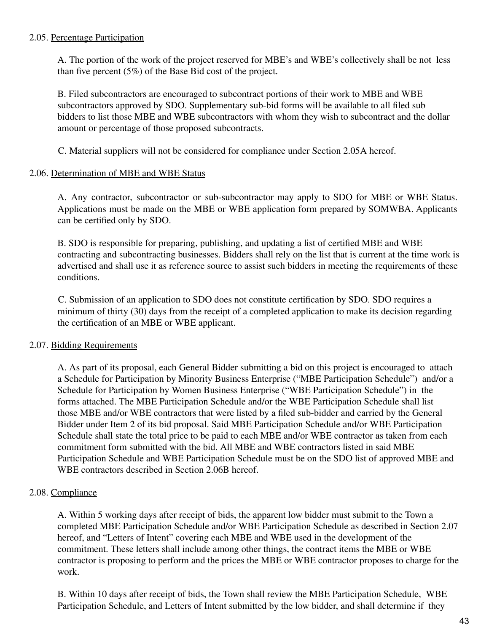#### 2.05. Percentage Participation

A. The portion of the work of the project reserved for MBE's and WBE's collectively shall be not less than five percent (5%) of the Base Bid cost of the project.

B. Filed subcontractors are encouraged to subcontract portions of their work to MBE and WBE subcontractors approved by SDO. Supplementary sub-bid forms will be available to all filed sub bidders to list those MBE and WBE subcontractors with whom they wish to subcontract and the dollar amount or percentage of those proposed subcontracts.

C. Material suppliers will not be considered for compliance under Section 2.05A hereof.

#### 2.06. Determination of MBE and WBE Status

A. Any contractor, subcontractor or sub-subcontractor may apply to SDO for MBE or WBE Status. Applications must be made on the MBE or WBE application form prepared by SOMWBA. Applicants can be certified only by SDO.

B. SDO is responsible for preparing, publishing, and updating a list of certified MBE and WBE contracting and subcontracting businesses. Bidders shall rely on the list that is current at the time work is advertised and shall use it as reference source to assist such bidders in meeting the requirements of these conditions.

C. Submission of an application to SDO does not constitute certification by SDO. SDO requires a minimum of thirty (30) days from the receipt of a completed application to make its decision regarding the certification of an MBE or WBE applicant.

## 2.07. Bidding Requirements

A. As part of its proposal, each General Bidder submitting a bid on this project is encouraged to attach a Schedule for Participation by Minority Business Enterprise ("MBE Participation Schedule") and/or a Schedule for Participation by Women Business Enterprise ("WBE Participation Schedule") in the forms attached. The MBE Participation Schedule and/or the WBE Participation Schedule shall list those MBE and/or WBE contractors that were listed by a filed sub-bidder and carried by the General Bidder under Item 2 of its bid proposal. Said MBE Participation Schedule and/or WBE Participation Schedule shall state the total price to be paid to each MBE and/or WBE contractor as taken from each commitment form submitted with the bid. All MBE and WBE contractors listed in said MBE Participation Schedule and WBE Participation Schedule must be on the SDO list of approved MBE and WBE contractors described in Section 2.06B hereof.

## 2.08. Compliance

A. Within 5 working days after receipt of bids, the apparent low bidder must submit to the Town a completed MBE Participation Schedule and/or WBE Participation Schedule as described in Section 2.07 hereof, and "Letters of Intent" covering each MBE and WBE used in the development of the commitment. These letters shall include among other things, the contract items the MBE or WBE contractor is proposing to perform and the prices the MBE or WBE contractor proposes to charge for the work.

B. Within 10 days after receipt of bids, the Town shall review the MBE Participation Schedule, WBE Participation Schedule, and Letters of Intent submitted by the low bidder, and shall determine if they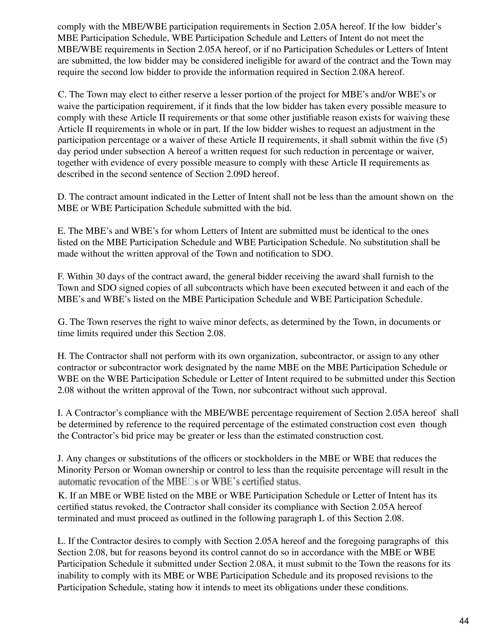comply with the MBE/WBE participation requirements in Section 2.05A hereof. If the low bidder's MBE Participation Schedule, WBE Participation Schedule and Letters of Intent do not meet the MBE/WBE requirements in Section 2.05A hereof, or if no Participation Schedules or Letters of Intent are submitted, the low bidder may be considered ineligible for award of the contract and the Town may require the second low bidder to provide the information required in Section 2.08A hereof.

C. The Town may elect to either reserve a lesser portion of the project for MBE's and/or WBE's or waive the participation requirement, if it finds that the low bidder has taken every possible measure to comply with these Article II requirements or that some other justifiable reason exists for waiving these Article II requirements in whole or in part. If the low bidder wishes to request an adjustment in the participation percentage or a waiver of these Article II requirements, it shall submit within the five (5) day period under subsection A hereof a written request for such reduction in percentage or waiver, together with evidence of every possible measure to comply with these Article II requirements as described in the second sentence of Section 2.09D hereof.

D. The contract amount indicated in the Letter of Intent shall not be less than the amount shown on the MBE or WBE Participation Schedule submitted with the bid.

E. The MBE's and WBE's for whom Letters of Intent are submitted must be identical to the ones listed on the MBE Participation Schedule and WBE Participation Schedule. No substitution shall be made without the written approval of the Town and notification to SDO.

F. Within 30 days of the contract award, the general bidder receiving the award shall furnish to the Town and SDO signed copies of all subcontracts which have been executed between it and each of the MBE's and WBE's listed on the MBE Participation Schedule and WBE Participation Schedule.

G. The Town reserves the right to waive minor defects, as determined by the Town, in documents or time limits required under this Section 2.08.

H. The Contractor shall not perform with its own organization, subcontractor, or assign to any other contractor or subcontractor work designated by the name MBE on the MBE Participation Schedule or WBE on the WBE Participation Schedule or Letter of Intent required to be submitted under this Section 2.08 without the written approval of the Town, nor subcontract without such approval.

I. A Contractor's compliance with the MBE/WBE percentage requirement of Section 2.05A hereof shall be determined by reference to the required percentage of the estimated construction cost even though the Contractor's bid price may be greater or less than the estimated construction cost.

J. Any changes or substitutions of the officers or stockholders in the MBE or WBE that reduces the Minority Person or Woman ownership or control to less than the requisite percentage will result in the automatic revocation of the MBE□s or WBE's certified status.

K. If an MBE or WBE listed on the MBE or WBE Participation Schedule or Letter of Intent has its certified status revoked, the Contractor shall consider its compliance with Section 2.05A hereof terminated and must proceed as outlined in the following paragraph L of this Section 2.08.

L. If the Contractor desires to comply with Section 2.05A hereof and the foregoing paragraphs of this Section 2.08, but for reasons beyond its control cannot do so in accordance with the MBE or WBE Participation Schedule it submitted under Section 2.08A, it must submit to the Town the reasons for its inability to comply with its MBE or WBE Participation Schedule and its proposed revisions to the Participation Schedule, stating how it intends to meet its obligations under these conditions.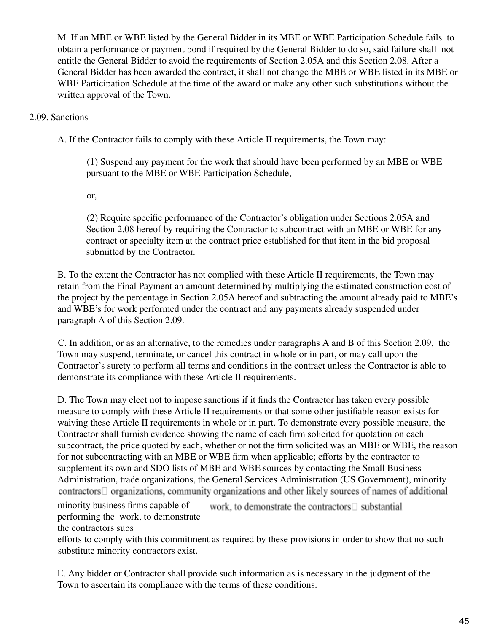M. If an MBE or WBE listed by the General Bidder in its MBE or WBE Participation Schedule fails to obtain a performance or payment bond if required by the General Bidder to do so, said failure shall not entitle the General Bidder to avoid the requirements of Section 2.05A and this Section 2.08. After a General Bidder has been awarded the contract, it shall not change the MBE or WBE listed in its MBE or WBE Participation Schedule at the time of the award or make any other such substitutions without the written approval of the Town.

## 2.09. Sanctions

A. If the Contractor fails to comply with these Article II requirements, the Town may:

(1) Suspend any payment for the work that should have been performed by an MBE or WBE pursuant to the MBE or WBE Participation Schedule,

or,

(2) Require specific performance of the Contractor's obligation under Sections 2.05A and Section 2.08 hereof by requiring the Contractor to subcontract with an MBE or WBE for any contract or specialty item at the contract price established for that item in the bid proposal submitted by the Contractor.

B. To the extent the Contractor has not complied with these Article II requirements, the Town may retain from the Final Payment an amount determined by multiplying the estimated construction cost of the project by the percentage in Section 2.05A hereof and subtracting the amount already paid to MBE's and WBE's for work performed under the contract and any payments already suspended under paragraph A of this Section 2.09.

C. In addition, or as an alternative, to the remedies under paragraphs A and B of this Section 2.09, the Town may suspend, terminate, or cancel this contract in whole or in part, or may call upon the Contractor's surety to perform all terms and conditions in the contract unless the Contractor is able to demonstrate its compliance with these Article II requirements.

D. The Town may elect not to impose sanctions if it finds the Contractor has taken every possible measure to comply with these Article II requirements or that some other justifiable reason exists for waiving these Article II requirements in whole or in part. To demonstrate every possible measure, the Contractor shall furnish evidence showing the name of each firm solicited for quotation on each subcontract, the price quoted by each, whether or not the firm solicited was an MBE or WBE, the reason for not subcontracting with an MBE or WBE firm when applicable; efforts by the contractor to supplement its own and SDO lists of MBE and WBE sources by contacting the Small Business Administration, trade organizations, the General Services Administration (US Government), minority  $contractors  $\Box$  organizations, community organizations and other likely sources of names of additional$ minority business firms capable of work, to demonstrate the contractors□ substantial performing the work, to demonstrate

the contractors subs

efforts to comply with this commitment as required by these provisions in order to show that no such substitute minority contractors exist.

E. Any bidder or Contractor shall provide such information as is necessary in the judgment of the Town to ascertain its compliance with the terms of these conditions.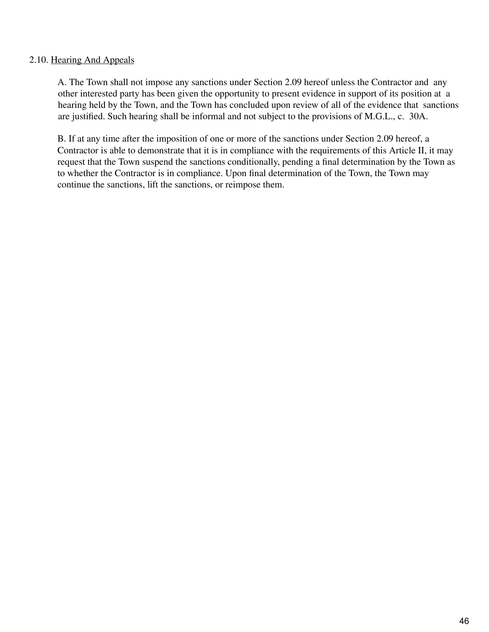#### 2.10. Hearing And Appeals

A. The Town shall not impose any sanctions under Section 2.09 hereof unless the Contractor and any other interested party has been given the opportunity to present evidence in support of its position at a hearing held by the Town, and the Town has concluded upon review of all of the evidence that sanctions are justified. Such hearing shall be informal and not subject to the provisions of M.G.L., c. 30A.

B. If at any time after the imposition of one or more of the sanctions under Section 2.09 hereof, a Contractor is able to demonstrate that it is in compliance with the requirements of this Article II, it may request that the Town suspend the sanctions conditionally, pending a final determination by the Town as to whether the Contractor is in compliance. Upon final determination of the Town, the Town may continue the sanctions, lift the sanctions, or reimpose them.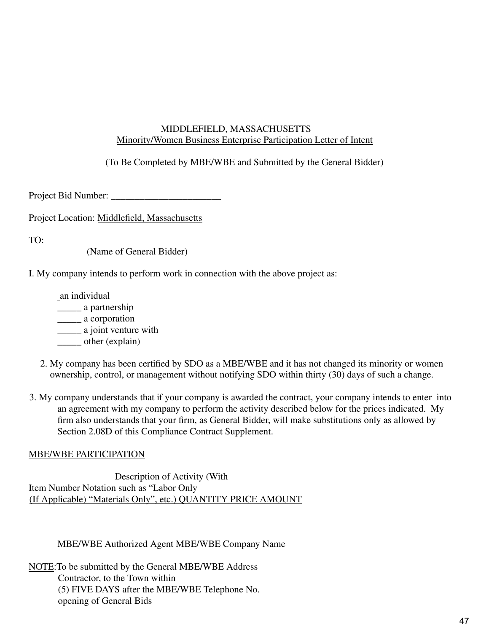### MIDDLEFIELD, MASSACHUSETTS Minority/Women Business Enterprise Participation Letter of Intent

(To Be Completed by MBE/WBE and Submitted by the General Bidder)

Project Bid Number: \_\_\_\_\_\_\_\_\_\_\_\_\_\_\_\_\_\_\_\_\_\_\_

Project Location: Middlefield, Massachusetts

TO:

(Name of General Bidder)

I. My company intends to perform work in connection with the above project as:

an individual \_\_\_\_\_ a partnership \_\_\_\_\_ a corporation \_\_\_\_\_ a joint venture with \_\_\_\_\_ other (explain)

- 2. My company has been certified by SDO as a MBE/WBE and it has not changed its minority or women ownership, control, or management without notifying SDO within thirty (30) days of such a change.
- 3. My company understands that if your company is awarded the contract, your company intends to enter into an agreement with my company to perform the activity described below for the prices indicated. My firm also understands that your firm, as General Bidder, will make substitutions only as allowed by Section 2.08D of this Compliance Contract Supplement.

## MBE/WBE PARTICIPATION

Description of Activity (With Item Number Notation such as "Labor Only (If Applicable) "Materials Only", etc.) QUANTITY PRICE AMOUNT

MBE/WBE Authorized Agent MBE/WBE Company Name

NOTE:To be submitted by the General MBE/WBE Address Contractor, to the Town within (5) FIVE DAYS after the MBE/WBE Telephone No. opening of General Bids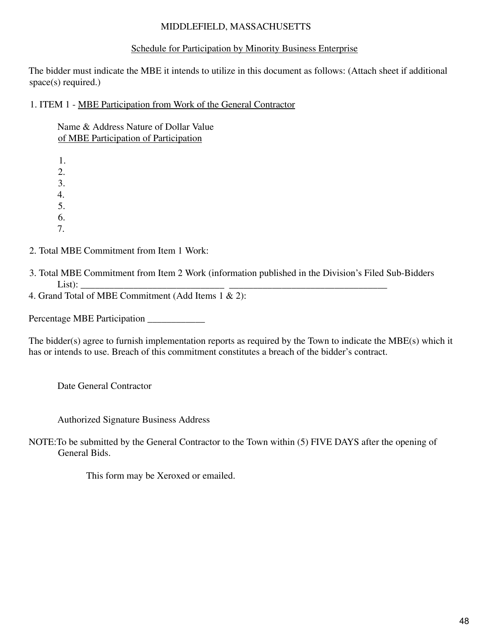## MIDDLEFIELD, MASSACHUSETTS

## Schedule for Participation by Minority Business Enterprise

The bidder must indicate the MBE it intends to utilize in this document as follows: (Attach sheet if additional space(s) required.)

1. ITEM 1 - MBE Participation from Work of the General Contractor

Name & Address Nature of Dollar Value of MBE Participation of Participation

1. 2. 3. 4. 5. 6. 7.

2. Total MBE Commitment from Item 1 Work:

3. Total MBE Commitment from Item 2 Work (information published in the Division's Filed Sub-Bidders List): \_\_\_\_\_\_\_\_\_\_\_\_\_\_\_\_\_\_\_\_\_\_\_\_\_\_\_\_\_\_ \_\_\_\_\_\_\_\_\_\_\_\_\_\_\_\_\_\_\_\_\_\_\_\_\_\_\_\_\_\_\_\_\_

4. Grand Total of MBE Commitment (Add Items 1 & 2):

Percentage MBE Participation \_\_\_\_\_\_\_\_\_\_\_\_

The bidder(s) agree to furnish implementation reports as required by the Town to indicate the MBE(s) which it has or intends to use. Breach of this commitment constitutes a breach of the bidder's contract.

Date General Contractor

Authorized Signature Business Address

NOTE:To be submitted by the General Contractor to the Town within (5) FIVE DAYS after the opening of General Bids.

This form may be Xeroxed or emailed.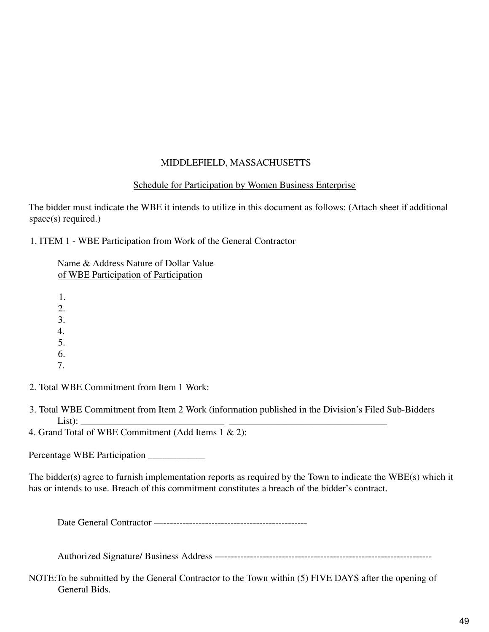## MIDDLEFIELD, MASSACHUSETTS

## Schedule for Participation by Women Business Enterprise

The bidder must indicate the WBE it intends to utilize in this document as follows: (Attach sheet if additional space(s) required.)

1. ITEM 1 - WBE Participation from Work of the General Contractor

Name & Address Nature of Dollar Value of WBE Participation of Participation

1.  $2<sup>1</sup>$ 3. 4. 5. 6.

- 7.
- 2. Total WBE Commitment from Item 1 Work:
- 3. Total WBE Commitment from Item 2 Work (information published in the Division's Filed Sub-Bidders List): \_\_\_\_\_\_\_\_\_\_\_\_\_\_\_\_\_\_\_\_\_\_\_\_\_\_\_\_\_\_ \_\_\_\_\_\_\_\_\_\_\_\_\_\_\_\_\_\_\_\_\_\_\_\_\_\_\_\_\_\_\_\_\_

4. Grand Total of WBE Commitment (Add Items 1 & 2):

Percentage WBE Participation \_\_\_\_\_\_\_\_\_\_\_\_

The bidder(s) agree to furnish implementation reports as required by the Town to indicate the WBE(s) which it has or intends to use. Breach of this commitment constitutes a breach of the bidder's contract.

Date General Contractor —---------------------------------------------

Authorized Signature/ Business Address —-----------------------------------------------------------------

NOTE:To be submitted by the General Contractor to the Town within (5) FIVE DAYS after the opening of General Bids.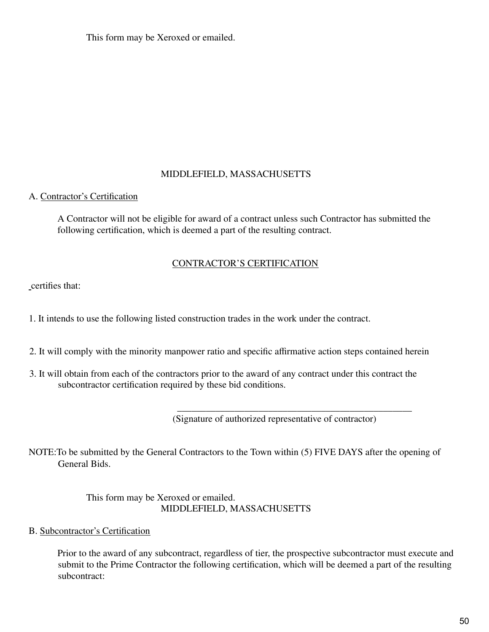This form may be Xeroxed or emailed.

## MIDDLEFIELD, MASSACHUSETTS

## A. Contractor's Certification

A Contractor will not be eligible for award of a contract unless such Contractor has submitted the following certification, which is deemed a part of the resulting contract.

#### CONTRACTOR'S CERTIFICATION

certifies that:

1. It intends to use the following listed construction trades in the work under the contract.

- 2. It will comply with the minority manpower ratio and specific affirmative action steps contained herein
- 3. It will obtain from each of the contractors prior to the award of any contract under this contract the subcontractor certification required by these bid conditions.

(Signature of authorized representative of contractor)

\_\_\_\_\_\_\_\_\_\_\_\_\_\_\_\_\_\_\_\_\_\_\_\_\_\_\_\_\_\_\_\_\_\_\_\_\_\_\_\_\_\_\_\_\_\_\_\_\_

NOTE:To be submitted by the General Contractors to the Town within (5) FIVE DAYS after the opening of General Bids.

> This form may be Xeroxed or emailed. MIDDLEFIELD, MASSACHUSETTS

B. Subcontractor's Certification

Prior to the award of any subcontract, regardless of tier, the prospective subcontractor must execute and submit to the Prime Contractor the following certification, which will be deemed a part of the resulting subcontract: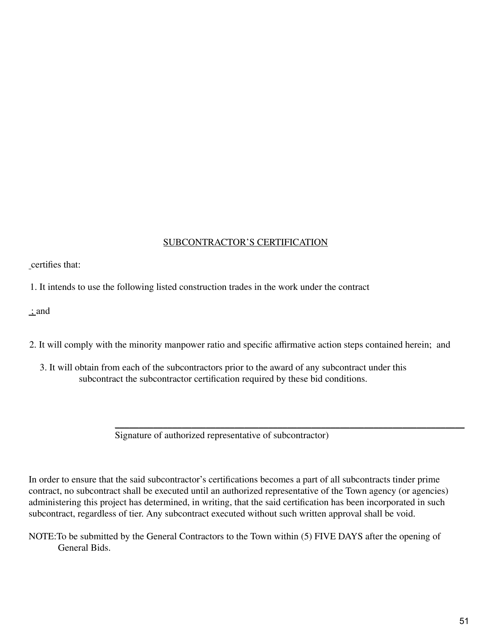## SUBCONTRACTOR'S CERTIFICATION

certifies that:

1. It intends to use the following listed construction trades in the work under the contract

; and

- 2. It will comply with the minority manpower ratio and specific affirmative action steps contained herein; and
	- 3. It will obtain from each of the subcontractors prior to the award of any subcontract under this subcontract the subcontractor certification required by these bid conditions.

 $\mathcal{L}_\text{max}$  and  $\mathcal{L}_\text{max}$  and  $\mathcal{L}_\text{max}$  and  $\mathcal{L}_\text{max}$  and  $\mathcal{L}_\text{max}$  and  $\mathcal{L}_\text{max}$ Signature of authorized representative of subcontractor)

In order to ensure that the said subcontractor's certifications becomes a part of all subcontracts tinder prime contract, no subcontract shall be executed until an authorized representative of the Town agency (or agencies) administering this project has determined, in writing, that the said certification has been incorporated in such subcontract, regardless of tier. Any subcontract executed without such written approval shall be void.

NOTE:To be submitted by the General Contractors to the Town within (5) FIVE DAYS after the opening of General Bids.